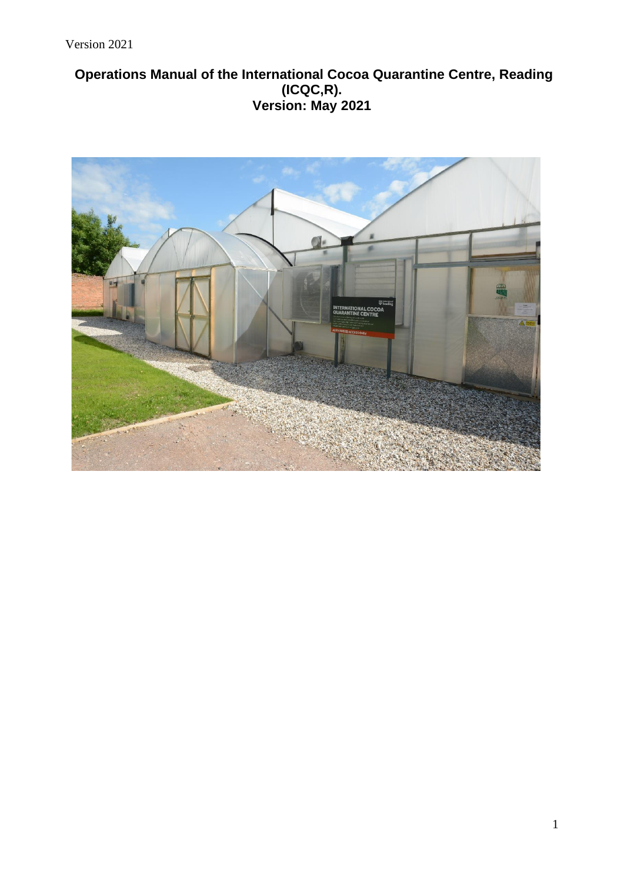# **Operations Manual of the International Cocoa Quarantine Centre, Reading (ICQC,R). Version: May 2021**

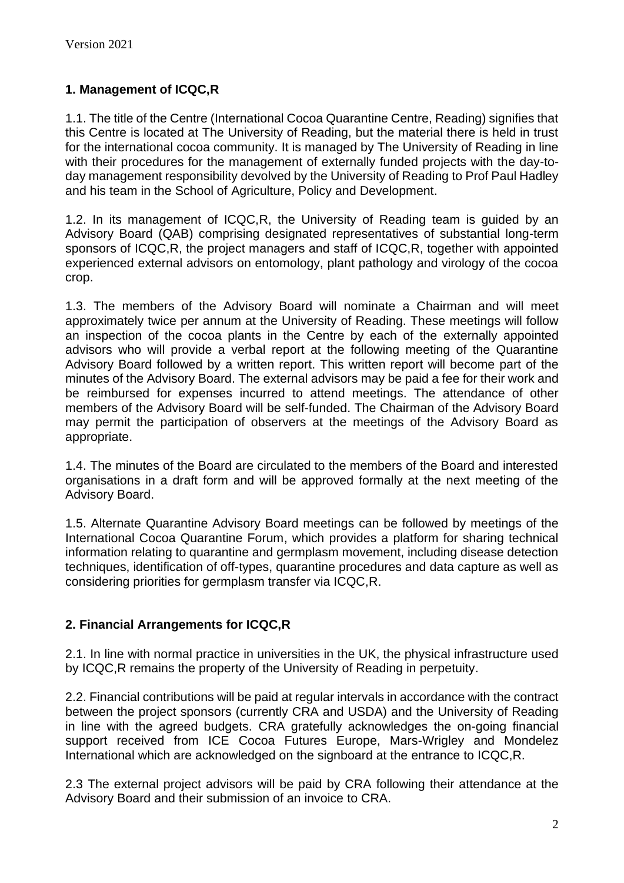# **1. Management of ICQC,R**

1.1. The title of the Centre (International Cocoa Quarantine Centre, Reading) signifies that this Centre is located at The University of Reading, but the material there is held in trust for the international cocoa community. It is managed by The University of Reading in line with their procedures for the management of externally funded projects with the day-today management responsibility devolved by the University of Reading to Prof Paul Hadley and his team in the School of Agriculture, Policy and Development.

1.2. In its management of ICQC,R, the University of Reading team is guided by an Advisory Board (QAB) comprising designated representatives of substantial long-term sponsors of ICQC,R, the project managers and staff of ICQC,R, together with appointed experienced external advisors on entomology, plant pathology and virology of the cocoa crop.

1.3. The members of the Advisory Board will nominate a Chairman and will meet approximately twice per annum at the University of Reading. These meetings will follow an inspection of the cocoa plants in the Centre by each of the externally appointed advisors who will provide a verbal report at the following meeting of the Quarantine Advisory Board followed by a written report. This written report will become part of the minutes of the Advisory Board. The external advisors may be paid a fee for their work and be reimbursed for expenses incurred to attend meetings. The attendance of other members of the Advisory Board will be self-funded. The Chairman of the Advisory Board may permit the participation of observers at the meetings of the Advisory Board as appropriate.

1.4. The minutes of the Board are circulated to the members of the Board and interested organisations in a draft form and will be approved formally at the next meeting of the Advisory Board.

1.5. Alternate Quarantine Advisory Board meetings can be followed by meetings of the International Cocoa Quarantine Forum, which provides a platform for sharing technical information relating to quarantine and germplasm movement, including disease detection techniques, identification of off-types, quarantine procedures and data capture as well as considering priorities for germplasm transfer via ICQC,R.

## **2. Financial Arrangements for ICQC,R**

2.1. In line with normal practice in universities in the UK, the physical infrastructure used by ICQC,R remains the property of the University of Reading in perpetuity.

2.2. Financial contributions will be paid at regular intervals in accordance with the contract between the project sponsors (currently CRA and USDA) and the University of Reading in line with the agreed budgets. CRA gratefully acknowledges the on-going financial support received from ICE Cocoa Futures Europe, Mars-Wrigley and Mondelez International which are acknowledged on the signboard at the entrance to ICQC,R.

2.3 The external project advisors will be paid by CRA following their attendance at the Advisory Board and their submission of an invoice to CRA.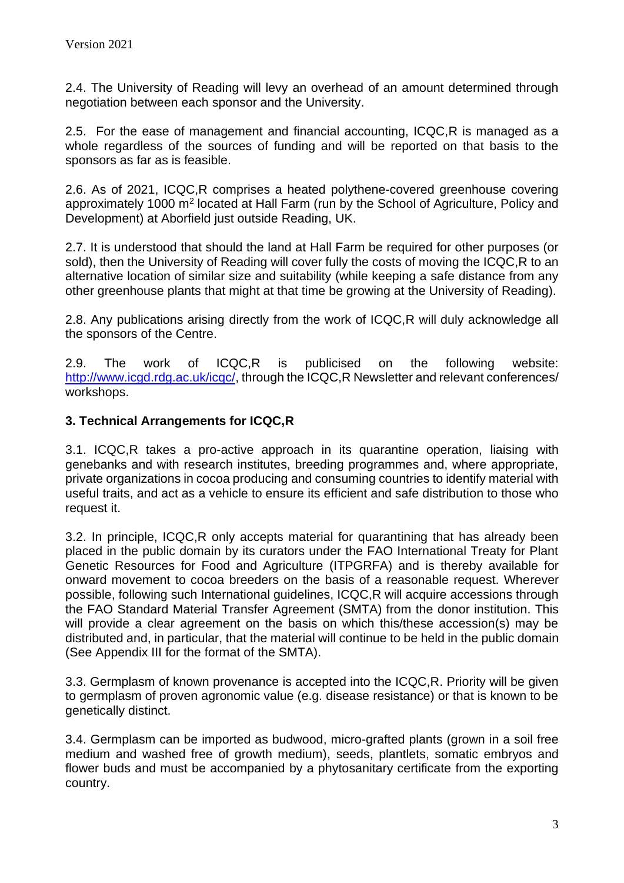2.4. The University of Reading will levy an overhead of an amount determined through negotiation between each sponsor and the University.

2.5. For the ease of management and financial accounting, ICQC,R is managed as a whole regardless of the sources of funding and will be reported on that basis to the sponsors as far as is feasible.

2.6. As of 2021, ICQC,R comprises a heated polythene-covered greenhouse covering approximately 1000 m<sup>2</sup> located at Hall Farm (run by the School of Agriculture, Policy and Development) at Aborfield just outside Reading, UK.

2.7. It is understood that should the land at Hall Farm be required for other purposes (or sold), then the University of Reading will cover fully the costs of moving the ICQC,R to an alternative location of similar size and suitability (while keeping a safe distance from any other greenhouse plants that might at that time be growing at the University of Reading).

2.8. Any publications arising directly from the work of ICQC,R will duly acknowledge all the sponsors of the Centre.

2.9. The work of ICQC,R is publicised on the following website: [http://www.icgd.rdg.ac.uk/icqc/,](http://www.icgd.rdg.ac.uk/icqc/) through the ICQC,R Newsletter and relevant conferences/ workshops.

# **3. Technical Arrangements for ICQC,R**

3.1. ICQC,R takes a pro-active approach in its quarantine operation, liaising with genebanks and with research institutes, breeding programmes and, where appropriate, private organizations in cocoa producing and consuming countries to identify material with useful traits, and act as a vehicle to ensure its efficient and safe distribution to those who request it.

3.2. In principle, ICQC,R only accepts material for quarantining that has already been placed in the public domain by its curators under the FAO International Treaty for Plant Genetic Resources for Food and Agriculture (ITPGRFA) and is thereby available for onward movement to cocoa breeders on the basis of a reasonable request. Wherever possible, following such International guidelines, ICQC,R will acquire accessions through the FAO Standard Material Transfer Agreement (SMTA) from the donor institution. This will provide a clear agreement on the basis on which this/these accession(s) may be distributed and, in particular, that the material will continue to be held in the public domain (See Appendix III for the format of the SMTA).

3.3. Germplasm of known provenance is accepted into the ICQC,R. Priority will be given to germplasm of proven agronomic value (e.g. disease resistance) or that is known to be genetically distinct.

3.4. Germplasm can be imported as budwood, micro-grafted plants (grown in a soil free medium and washed free of growth medium), seeds, plantlets, somatic embryos and flower buds and must be accompanied by a phytosanitary certificate from the exporting country.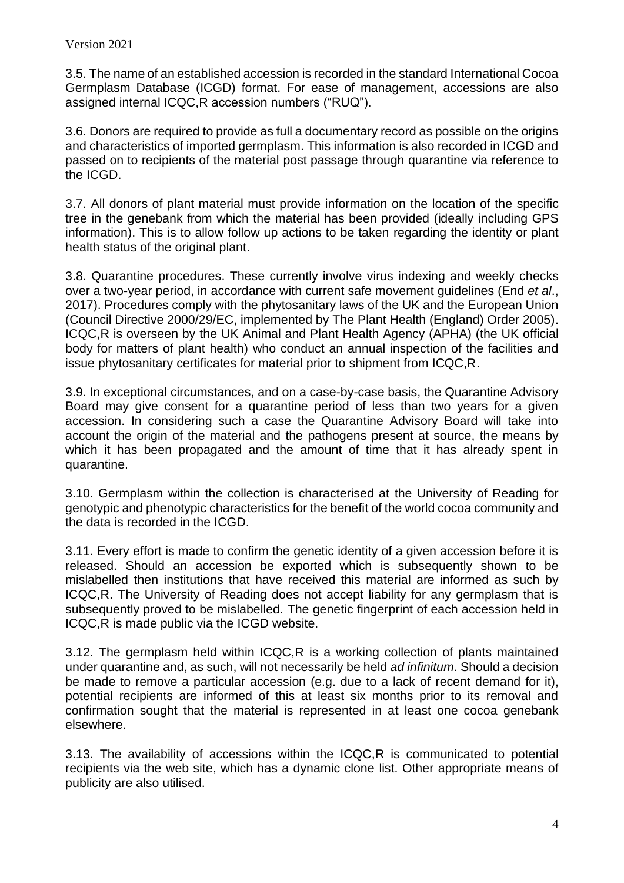3.5. The name of an established accession is recorded in the standard International Cocoa Germplasm Database (ICGD) format. For ease of management, accessions are also assigned internal ICQC,R accession numbers ("RUQ").

3.6. Donors are required to provide as full a documentary record as possible on the origins and characteristics of imported germplasm. This information is also recorded in ICGD and passed on to recipients of the material post passage through quarantine via reference to the ICGD.

3.7. All donors of plant material must provide information on the location of the specific tree in the genebank from which the material has been provided (ideally including GPS information). This is to allow follow up actions to be taken regarding the identity or plant health status of the original plant.

3.8. Quarantine procedures. These currently involve virus indexing and weekly checks over a two-year period, in accordance with current safe movement guidelines (End *et al*., 2017). Procedures comply with the phytosanitary laws of the UK and the European Union (Council Directive 2000/29/EC, implemented by The Plant Health (England) Order 2005). ICQC,R is overseen by the UK Animal and Plant Health Agency (APHA) (the UK official body for matters of plant health) who conduct an annual inspection of the facilities and issue phytosanitary certificates for material prior to shipment from ICQC,R.

3.9. In exceptional circumstances, and on a case-by-case basis, the Quarantine Advisory Board may give consent for a quarantine period of less than two years for a given accession. In considering such a case the Quarantine Advisory Board will take into account the origin of the material and the pathogens present at source, the means by which it has been propagated and the amount of time that it has already spent in quarantine.

3.10. Germplasm within the collection is characterised at the University of Reading for genotypic and phenotypic characteristics for the benefit of the world cocoa community and the data is recorded in the ICGD.

3.11. Every effort is made to confirm the genetic identity of a given accession before it is released. Should an accession be exported which is subsequently shown to be mislabelled then institutions that have received this material are informed as such by ICQC,R. The University of Reading does not accept liability for any germplasm that is subsequently proved to be mislabelled. The genetic fingerprint of each accession held in ICQC,R is made public via the ICGD website.

3.12. The germplasm held within ICQC,R is a working collection of plants maintained under quarantine and, as such, will not necessarily be held *ad infinitum*. Should a decision be made to remove a particular accession (e.g. due to a lack of recent demand for it), potential recipients are informed of this at least six months prior to its removal and confirmation sought that the material is represented in at least one cocoa genebank elsewhere.

3.13. The availability of accessions within the ICQC,R is communicated to potential recipients via the web site, which has a dynamic clone list. Other appropriate means of publicity are also utilised.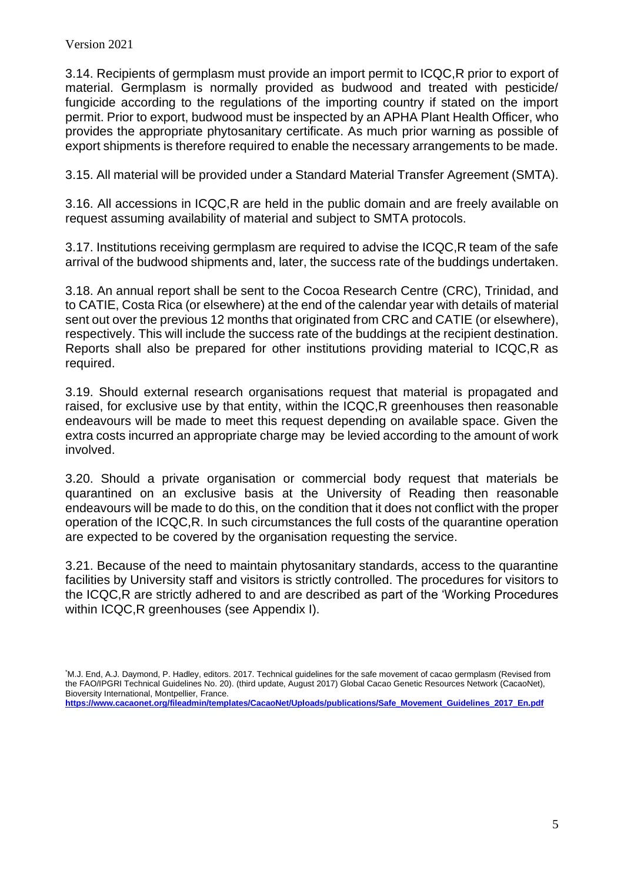3.14. Recipients of germplasm must provide an import permit to ICQC,R prior to export of material. Germplasm is normally provided as budwood and treated with pesticide/ fungicide according to the regulations of the importing country if stated on the import permit. Prior to export, budwood must be inspected by an APHA Plant Health Officer, who provides the appropriate phytosanitary certificate. As much prior warning as possible of export shipments is therefore required to enable the necessary arrangements to be made.

3.15. All material will be provided under a Standard Material Transfer Agreement (SMTA).

3.16. All accessions in ICQC,R are held in the public domain and are freely available on request assuming availability of material and subject to SMTA protocols.

3.17. Institutions receiving germplasm are required to advise the ICQC,R team of the safe arrival of the budwood shipments and, later, the success rate of the buddings undertaken.

3.18. An annual report shall be sent to the Cocoa Research Centre (CRC), Trinidad, and to CATIE, Costa Rica (or elsewhere) at the end of the calendar year with details of material sent out over the previous 12 months that originated from CRC and CATIE (or elsewhere), respectively. This will include the success rate of the buddings at the recipient destination. Reports shall also be prepared for other institutions providing material to ICQC,R as required.

3.19. Should external research organisations request that material is propagated and raised, for exclusive use by that entity, within the ICQC,R greenhouses then reasonable endeavours will be made to meet this request depending on available space. Given the extra costs incurred an appropriate charge may be levied according to the amount of work involved.

3.20. Should a private organisation or commercial body request that materials be quarantined on an exclusive basis at the University of Reading then reasonable endeavours will be made to do this, on the condition that it does not conflict with the proper operation of the ICQC,R. In such circumstances the full costs of the quarantine operation are expected to be covered by the organisation requesting the service.

3.21. Because of the need to maintain phytosanitary standards, access to the quarantine facilities by University staff and visitors is strictly controlled. The procedures for visitors to the ICQC,R are strictly adhered to and are described as part of the 'Working Procedures within ICQC,R greenhouses (see Appendix I).

**[https://www.cacaonet.org/fileadmin/templates/CacaoNet/Uploads/publications/Safe\\_Movement\\_Guidelines\\_2017\\_En.pdf](https://www.cacaonet.org/fileadmin/templates/CacaoNet/Uploads/publications/Safe_Movement_Guidelines_2017_En.pdf)**

<sup>\*</sup>M.J. End, A.J. Daymond, P. Hadley, editors. 2017. Technical guidelines for the safe movement of cacao germplasm (Revised from the FAO/IPGRI Technical Guidelines No. 20). (third update, August 2017) Global Cacao Genetic Resources Network (CacaoNet), Bioversity International, Montpellier, France.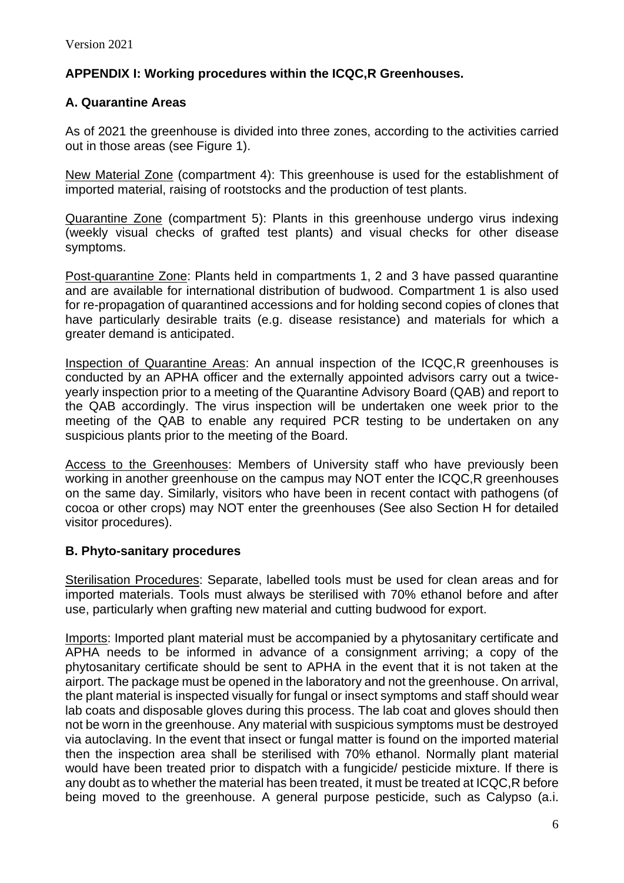# **APPENDIX I: Working procedures within the ICQC,R Greenhouses.**

## **A. Quarantine Areas**

As of 2021 the greenhouse is divided into three zones, according to the activities carried out in those areas (see Figure 1).

New Material Zone (compartment 4): This greenhouse is used for the establishment of imported material, raising of rootstocks and the production of test plants.

Quarantine Zone (compartment 5): Plants in this greenhouse undergo virus indexing (weekly visual checks of grafted test plants) and visual checks for other disease symptoms.

Post-quarantine Zone: Plants held in compartments 1, 2 and 3 have passed quarantine and are available for international distribution of budwood. Compartment 1 is also used for re-propagation of quarantined accessions and for holding second copies of clones that have particularly desirable traits (e.g. disease resistance) and materials for which a greater demand is anticipated.

Inspection of Quarantine Areas: An annual inspection of the ICQC,R greenhouses is conducted by an APHA officer and the externally appointed advisors carry out a twiceyearly inspection prior to a meeting of the Quarantine Advisory Board (QAB) and report to the QAB accordingly. The virus inspection will be undertaken one week prior to the meeting of the QAB to enable any required PCR testing to be undertaken on any suspicious plants prior to the meeting of the Board.

Access to the Greenhouses: Members of University staff who have previously been working in another greenhouse on the campus may NOT enter the ICQC,R greenhouses on the same day. Similarly, visitors who have been in recent contact with pathogens (of cocoa or other crops) may NOT enter the greenhouses (See also Section H for detailed visitor procedures).

## **B. Phyto-sanitary procedures**

Sterilisation Procedures: Separate, labelled tools must be used for clean areas and for imported materials. Tools must always be sterilised with 70% ethanol before and after use, particularly when grafting new material and cutting budwood for export.

Imports: Imported plant material must be accompanied by a phytosanitary certificate and APHA needs to be informed in advance of a consignment arriving; a copy of the phytosanitary certificate should be sent to APHA in the event that it is not taken at the airport. The package must be opened in the laboratory and not the greenhouse. On arrival, the plant material is inspected visually for fungal or insect symptoms and staff should wear lab coats and disposable gloves during this process. The lab coat and gloves should then not be worn in the greenhouse. Any material with suspicious symptoms must be destroyed via autoclaving. In the event that insect or fungal matter is found on the imported material then the inspection area shall be sterilised with 70% ethanol. Normally plant material would have been treated prior to dispatch with a fungicide/ pesticide mixture. If there is any doubt as to whether the material has been treated, it must be treated at ICQC,R before being moved to the greenhouse. A general purpose pesticide, such as Calypso (a.i.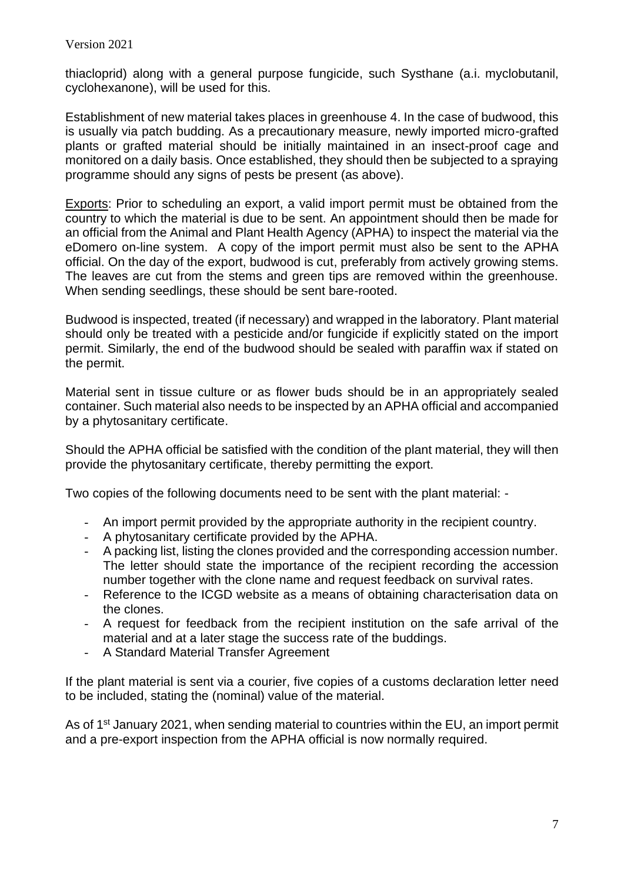thiacloprid) along with a general purpose fungicide, such Systhane (a.i. myclobutanil, cyclohexanone), will be used for this.

Establishment of new material takes places in greenhouse 4. In the case of budwood, this is usually via patch budding. As a precautionary measure, newly imported micro-grafted plants or grafted material should be initially maintained in an insect-proof cage and monitored on a daily basis. Once established, they should then be subjected to a spraying programme should any signs of pests be present (as above).

Exports: Prior to scheduling an export, a valid import permit must be obtained from the country to which the material is due to be sent. An appointment should then be made for an official from the Animal and Plant Health Agency (APHA) to inspect the material via the eDomero on-line system. A copy of the import permit must also be sent to the APHA official. On the day of the export, budwood is cut, preferably from actively growing stems. The leaves are cut from the stems and green tips are removed within the greenhouse. When sending seedlings, these should be sent bare-rooted.

Budwood is inspected, treated (if necessary) and wrapped in the laboratory. Plant material should only be treated with a pesticide and/or fungicide if explicitly stated on the import permit. Similarly, the end of the budwood should be sealed with paraffin wax if stated on the permit.

Material sent in tissue culture or as flower buds should be in an appropriately sealed container. Such material also needs to be inspected by an APHA official and accompanied by a phytosanitary certificate.

Should the APHA official be satisfied with the condition of the plant material, they will then provide the phytosanitary certificate, thereby permitting the export.

Two copies of the following documents need to be sent with the plant material: -

- An import permit provided by the appropriate authority in the recipient country.
- A phytosanitary certificate provided by the APHA.
- A packing list, listing the clones provided and the corresponding accession number. The letter should state the importance of the recipient recording the accession number together with the clone name and request feedback on survival rates.
- Reference to the ICGD website as a means of obtaining characterisation data on the clones.
- A request for feedback from the recipient institution on the safe arrival of the material and at a later stage the success rate of the buddings.
- A Standard Material Transfer Agreement

If the plant material is sent via a courier, five copies of a customs declaration letter need to be included, stating the (nominal) value of the material.

As of 1<sup>st</sup> January 2021, when sending material to countries within the EU, an import permit and a pre-export inspection from the APHA official is now normally required.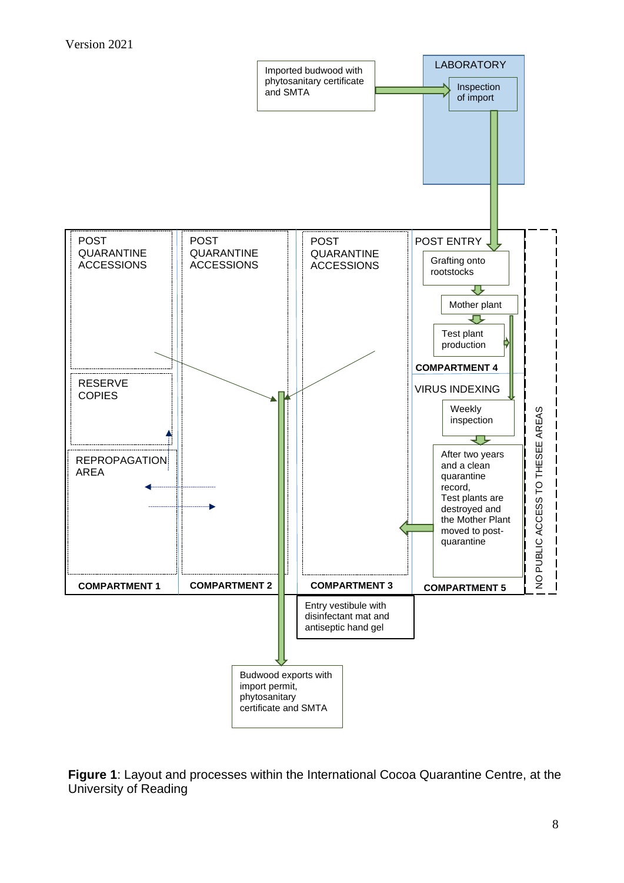

**Figure 1**: Layout and processes within the International Cocoa Quarantine Centre, at the University of Reading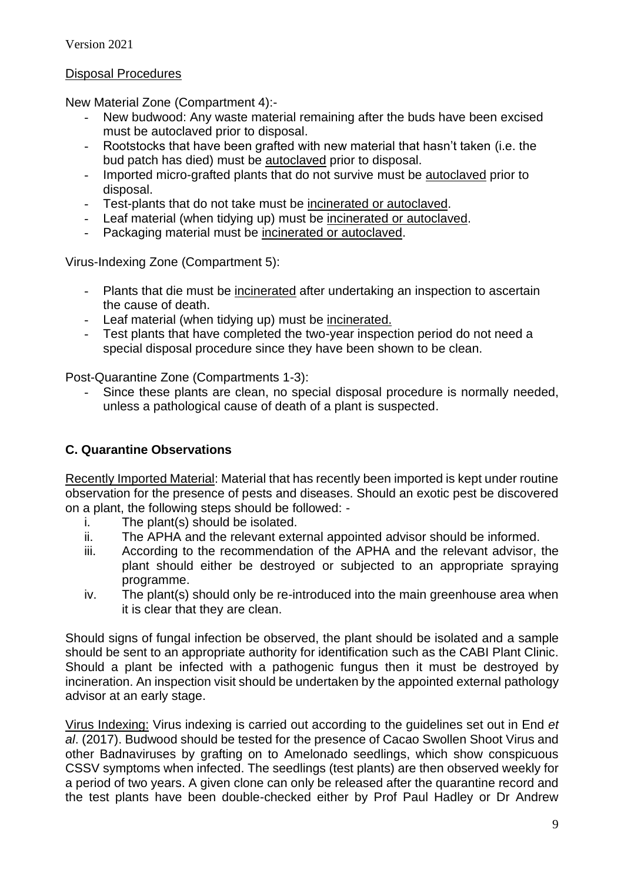## Disposal Procedures

New Material Zone (Compartment 4):-

- New budwood: Any waste material remaining after the buds have been excised must be autoclaved prior to disposal.
- Rootstocks that have been grafted with new material that hasn't taken (i.e. the bud patch has died) must be autoclaved prior to disposal.
- Imported micro-grafted plants that do not survive must be autoclaved prior to disposal.
- Test-plants that do not take must be incinerated or autoclaved.
- Leaf material (when tidying up) must be incinerated or autoclaved.
- Packaging material must be incinerated or autoclaved.

Virus-Indexing Zone (Compartment 5):

- Plants that die must be incinerated after undertaking an inspection to ascertain the cause of death.
- Leaf material (when tidying up) must be incinerated.
- Test plants that have completed the two-year inspection period do not need a special disposal procedure since they have been shown to be clean.

Post-Quarantine Zone (Compartments 1-3):

Since these plants are clean, no special disposal procedure is normally needed, unless a pathological cause of death of a plant is suspected.

## **C. Quarantine Observations**

Recently Imported Material: Material that has recently been imported is kept under routine observation for the presence of pests and diseases. Should an exotic pest be discovered on a plant, the following steps should be followed: -

- i. The plant(s) should be isolated.
- ii. The APHA and the relevant external appointed advisor should be informed.
- iii. According to the recommendation of the APHA and the relevant advisor, the plant should either be destroyed or subjected to an appropriate spraying programme.
- iv. The plant(s) should only be re-introduced into the main greenhouse area when it is clear that they are clean.

Should signs of fungal infection be observed, the plant should be isolated and a sample should be sent to an appropriate authority for identification such as the CABI Plant Clinic. Should a plant be infected with a pathogenic fungus then it must be destroyed by incineration. An inspection visit should be undertaken by the appointed external pathology advisor at an early stage.

Virus Indexing: Virus indexing is carried out according to the guidelines set out in End *et al*. (2017). Budwood should be tested for the presence of Cacao Swollen Shoot Virus and other Badnaviruses by grafting on to Amelonado seedlings, which show conspicuous CSSV symptoms when infected. The seedlings (test plants) are then observed weekly for a period of two years. A given clone can only be released after the quarantine record and the test plants have been double-checked either by Prof Paul Hadley or Dr Andrew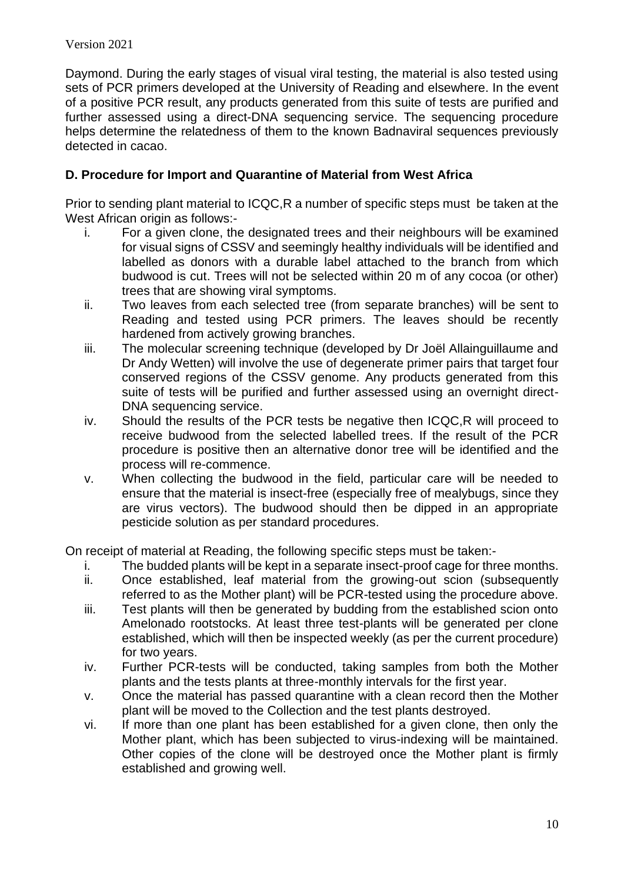Daymond. During the early stages of visual viral testing, the material is also tested using sets of PCR primers developed at the University of Reading and elsewhere. In the event of a positive PCR result, any products generated from this suite of tests are purified and further assessed using a direct-DNA sequencing service. The sequencing procedure helps determine the relatedness of them to the known Badnaviral sequences previously detected in cacao.

# **D. Procedure for Import and Quarantine of Material from West Africa**

Prior to sending plant material to ICQC,R a number of specific steps must be taken at the West African origin as follows:-

- i. For a given clone, the designated trees and their neighbours will be examined for visual signs of CSSV and seemingly healthy individuals will be identified and labelled as donors with a durable label attached to the branch from which budwood is cut. Trees will not be selected within 20 m of any cocoa (or other) trees that are showing viral symptoms.
- ii. Two leaves from each selected tree (from separate branches) will be sent to Reading and tested using PCR primers. The leaves should be recently hardened from actively growing branches.
- iii. The molecular screening technique (developed by Dr Joël Allainguillaume and Dr Andy Wetten) will involve the use of degenerate primer pairs that target four conserved regions of the CSSV genome. Any products generated from this suite of tests will be purified and further assessed using an overnight direct-DNA sequencing service.
- iv. Should the results of the PCR tests be negative then ICQC,R will proceed to receive budwood from the selected labelled trees. If the result of the PCR procedure is positive then an alternative donor tree will be identified and the process will re-commence.
- v. When collecting the budwood in the field, particular care will be needed to ensure that the material is insect-free (especially free of mealybugs, since they are virus vectors). The budwood should then be dipped in an appropriate pesticide solution as per standard procedures.

On receipt of material at Reading, the following specific steps must be taken:-

- i. The budded plants will be kept in a separate insect-proof cage for three months. ii. Once established, leaf material from the growing-out scion (subsequently
- referred to as the Mother plant) will be PCR-tested using the procedure above. iii. Test plants will then be generated by budding from the established scion onto Amelonado rootstocks. At least three test-plants will be generated per clone established, which will then be inspected weekly (as per the current procedure) for two years.
- iv. Further PCR-tests will be conducted, taking samples from both the Mother plants and the tests plants at three-monthly intervals for the first year.
- v. Once the material has passed quarantine with a clean record then the Mother plant will be moved to the Collection and the test plants destroyed.
- vi. If more than one plant has been established for a given clone, then only the Mother plant, which has been subjected to virus-indexing will be maintained. Other copies of the clone will be destroyed once the Mother plant is firmly established and growing well.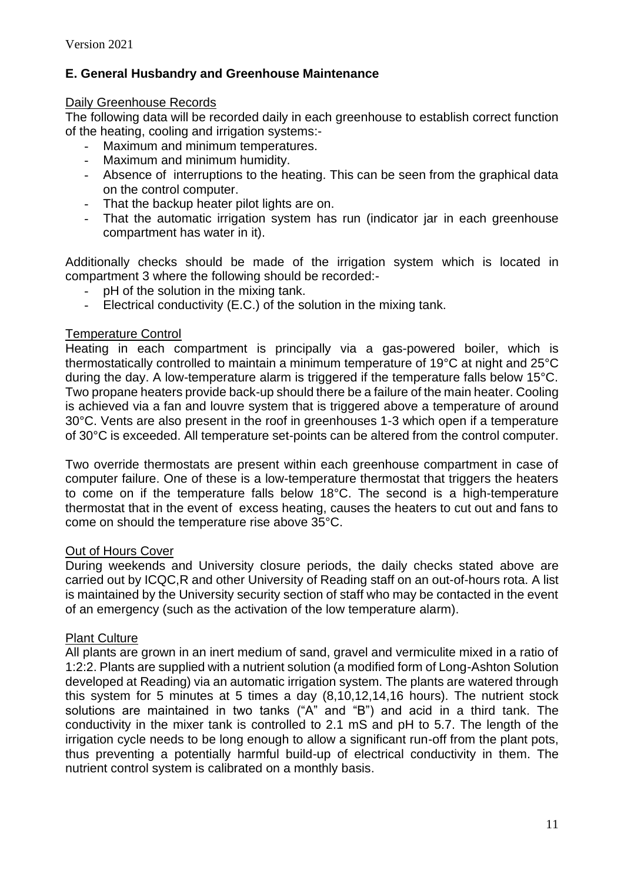# **E. General Husbandry and Greenhouse Maintenance**

## Daily Greenhouse Records

The following data will be recorded daily in each greenhouse to establish correct function of the heating, cooling and irrigation systems:-

- Maximum and minimum temperatures.
- Maximum and minimum humidity.
- Absence of interruptions to the heating. This can be seen from the graphical data on the control computer.
- That the backup heater pilot lights are on.
- That the automatic irrigation system has run (indicator jar in each greenhouse compartment has water in it).

Additionally checks should be made of the irrigation system which is located in compartment 3 where the following should be recorded:-

- pH of the solution in the mixing tank.
- Electrical conductivity (E.C.) of the solution in the mixing tank.

## Temperature Control

Heating in each compartment is principally via a gas-powered boiler, which is thermostatically controlled to maintain a minimum temperature of 19°C at night and 25°C during the day. A low-temperature alarm is triggered if the temperature falls below 15°C. Two propane heaters provide back-up should there be a failure of the main heater. Cooling is achieved via a fan and louvre system that is triggered above a temperature of around 30°C. Vents are also present in the roof in greenhouses 1-3 which open if a temperature of 30°C is exceeded. All temperature set-points can be altered from the control computer.

Two override thermostats are present within each greenhouse compartment in case of computer failure. One of these is a low-temperature thermostat that triggers the heaters to come on if the temperature falls below 18°C. The second is a high-temperature thermostat that in the event of excess heating, causes the heaters to cut out and fans to come on should the temperature rise above 35°C.

## Out of Hours Cover

During weekends and University closure periods, the daily checks stated above are carried out by ICQC,R and other University of Reading staff on an out-of-hours rota. A list is maintained by the University security section of staff who may be contacted in the event of an emergency (such as the activation of the low temperature alarm).

## Plant Culture

All plants are grown in an inert medium of sand, gravel and vermiculite mixed in a ratio of 1:2:2. Plants are supplied with a nutrient solution (a modified form of Long-Ashton Solution developed at Reading) via an automatic irrigation system. The plants are watered through this system for 5 minutes at 5 times a day (8,10,12,14,16 hours). The nutrient stock solutions are maintained in two tanks ("A" and "B") and acid in a third tank. The conductivity in the mixer tank is controlled to 2.1 mS and pH to 5.7. The length of the irrigation cycle needs to be long enough to allow a significant run-off from the plant pots, thus preventing a potentially harmful build-up of electrical conductivity in them. The nutrient control system is calibrated on a monthly basis.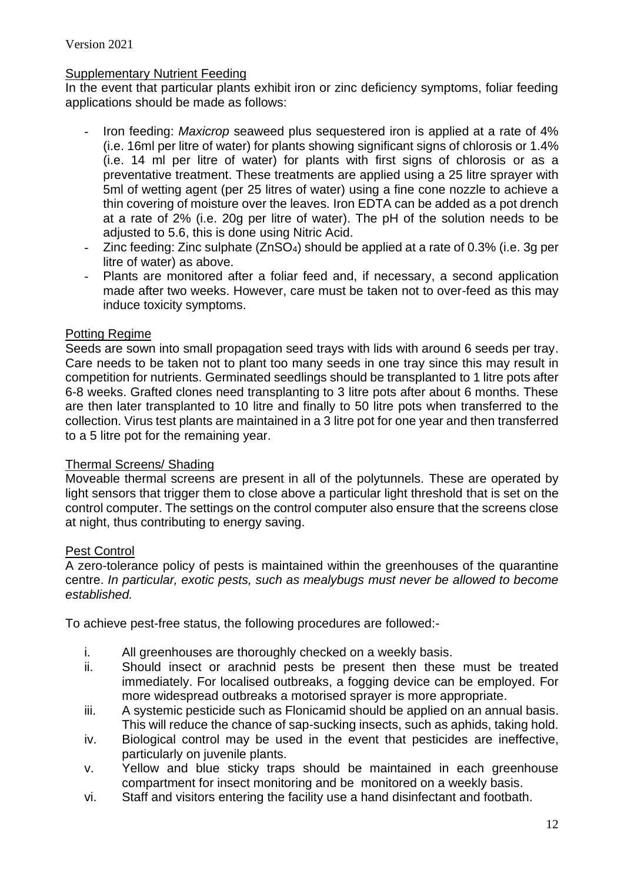## Supplementary Nutrient Feeding

In the event that particular plants exhibit iron or zinc deficiency symptoms, foliar feeding applications should be made as follows:

- Iron feeding: *Maxicrop* seaweed plus sequestered iron is applied at a rate of 4% (i.e. 16ml per litre of water) for plants showing significant signs of chlorosis or 1.4% (i.e. 14 ml per litre of water) for plants with first signs of chlorosis or as a preventative treatment. These treatments are applied using a 25 litre sprayer with 5ml of wetting agent (per 25 litres of water) using a fine cone nozzle to achieve a thin covering of moisture over the leaves. Iron EDTA can be added as a pot drench at a rate of 2% (i.e. 20g per litre of water). The pH of the solution needs to be adjusted to 5.6, this is done using Nitric Acid.
- Zinc feeding: Zinc sulphate  $(ZnSO<sub>4</sub>)$  should be applied at a rate of 0.3% (i.e. 3g per litre of water) as above.
- Plants are monitored after a foliar feed and, if necessary, a second application made after two weeks. However, care must be taken not to over-feed as this may induce toxicity symptoms.

## Potting Regime

Seeds are sown into small propagation seed trays with lids with around 6 seeds per tray. Care needs to be taken not to plant too many seeds in one tray since this may result in competition for nutrients. Germinated seedlings should be transplanted to 1 litre pots after 6-8 weeks. Grafted clones need transplanting to 3 litre pots after about 6 months. These are then later transplanted to 10 litre and finally to 50 litre pots when transferred to the collection. Virus test plants are maintained in a 3 litre pot for one year and then transferred to a 5 litre pot for the remaining year.

## Thermal Screens/ Shading

Moveable thermal screens are present in all of the polytunnels. These are operated by light sensors that trigger them to close above a particular light threshold that is set on the control computer. The settings on the control computer also ensure that the screens close at night, thus contributing to energy saving.

## Pest Control

A zero-tolerance policy of pests is maintained within the greenhouses of the quarantine centre. *In particular, exotic pests, such as mealybugs must never be allowed to become established.* 

To achieve pest-free status, the following procedures are followed:-

- i. All greenhouses are thoroughly checked on a weekly basis.
- ii. Should insect or arachnid pests be present then these must be treated immediately. For localised outbreaks, a fogging device can be employed. For more widespread outbreaks a motorised sprayer is more appropriate.
- iii. A systemic pesticide such as Flonicamid should be applied on an annual basis. This will reduce the chance of sap-sucking insects, such as aphids, taking hold.
- iv. Biological control may be used in the event that pesticides are ineffective, particularly on juvenile plants.
- v. Yellow and blue sticky traps should be maintained in each greenhouse compartment for insect monitoring and be monitored on a weekly basis.
- vi. Staff and visitors entering the facility use a hand disinfectant and footbath.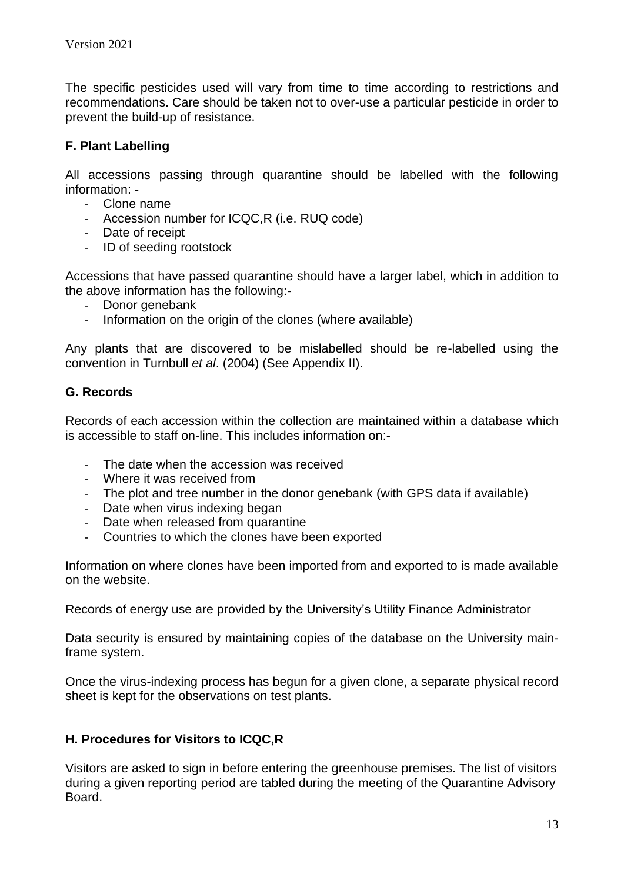The specific pesticides used will vary from time to time according to restrictions and recommendations. Care should be taken not to over-use a particular pesticide in order to prevent the build-up of resistance.

# **F. Plant Labelling**

All accessions passing through quarantine should be labelled with the following information: -

- Clone name
- Accession number for ICQC,R (i.e. RUQ code)
- Date of receipt
- ID of seeding rootstock

Accessions that have passed quarantine should have a larger label, which in addition to the above information has the following:-

- Donor genebank
- Information on the origin of the clones (where available)

Any plants that are discovered to be mislabelled should be re-labelled using the convention in Turnbull *et al*. (2004) (See Appendix II).

# **G. Records**

Records of each accession within the collection are maintained within a database which is accessible to staff on-line. This includes information on:-

- The date when the accession was received
- Where it was received from
- The plot and tree number in the donor genebank (with GPS data if available)
- Date when virus indexing began
- Date when released from quarantine
- Countries to which the clones have been exported

Information on where clones have been imported from and exported to is made available on the website.

Records of energy use are provided by the University's Utility Finance Administrator

Data security is ensured by maintaining copies of the database on the University mainframe system.

Once the virus-indexing process has begun for a given clone, a separate physical record sheet is kept for the observations on test plants.

## **H. Procedures for Visitors to ICQC,R**

Visitors are asked to sign in before entering the greenhouse premises. The list of visitors during a given reporting period are tabled during the meeting of the Quarantine Advisory Board.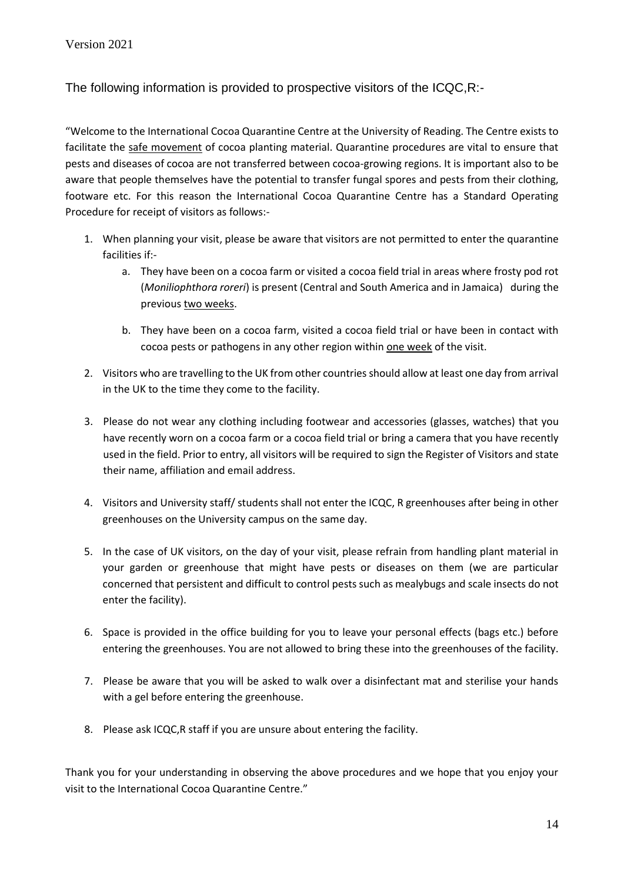The following information is provided to prospective visitors of the ICQC,R:-

"Welcome to the International Cocoa Quarantine Centre at the University of Reading. The Centre exists to facilitate the safe movement of cocoa planting material. Quarantine procedures are vital to ensure that pests and diseases of cocoa are not transferred between cocoa-growing regions. It is important also to be aware that people themselves have the potential to transfer fungal spores and pests from their clothing, footware etc. For this reason the International Cocoa Quarantine Centre has a Standard Operating Procedure for receipt of visitors as follows:-

- 1. When planning your visit, please be aware that visitors are not permitted to enter the quarantine facilities if:
	- a. They have been on a cocoa farm or visited a cocoa field trial in areas where frosty pod rot (*Moniliophthora roreri*) is present (Central and South America and in Jamaica) during the previous two weeks.
	- b. They have been on a cocoa farm, visited a cocoa field trial or have been in contact with cocoa pests or pathogens in any other region within one week of the visit.
- 2. Visitors who are travelling to the UK from other countries should allow at least one day from arrival in the UK to the time they come to the facility.
- 3. Please do not wear any clothing including footwear and accessories (glasses, watches) that you have recently worn on a cocoa farm or a cocoa field trial or bring a camera that you have recently used in the field. Prior to entry, all visitors will be required to sign the Register of Visitors and state their name, affiliation and email address.
- 4. Visitors and University staff/ students shall not enter the ICQC, R greenhouses after being in other greenhouses on the University campus on the same day.
- 5. In the case of UK visitors, on the day of your visit, please refrain from handling plant material in your garden or greenhouse that might have pests or diseases on them (we are particular concerned that persistent and difficult to control pests such as mealybugs and scale insects do not enter the facility).
- 6. Space is provided in the office building for you to leave your personal effects (bags etc.) before entering the greenhouses. You are not allowed to bring these into the greenhouses of the facility.
- 7. Please be aware that you will be asked to walk over a disinfectant mat and sterilise your hands with a gel before entering the greenhouse.
- 8. Please ask ICQC,R staff if you are unsure about entering the facility.

Thank you for your understanding in observing the above procedures and we hope that you enjoy your visit to the International Cocoa Quarantine Centre."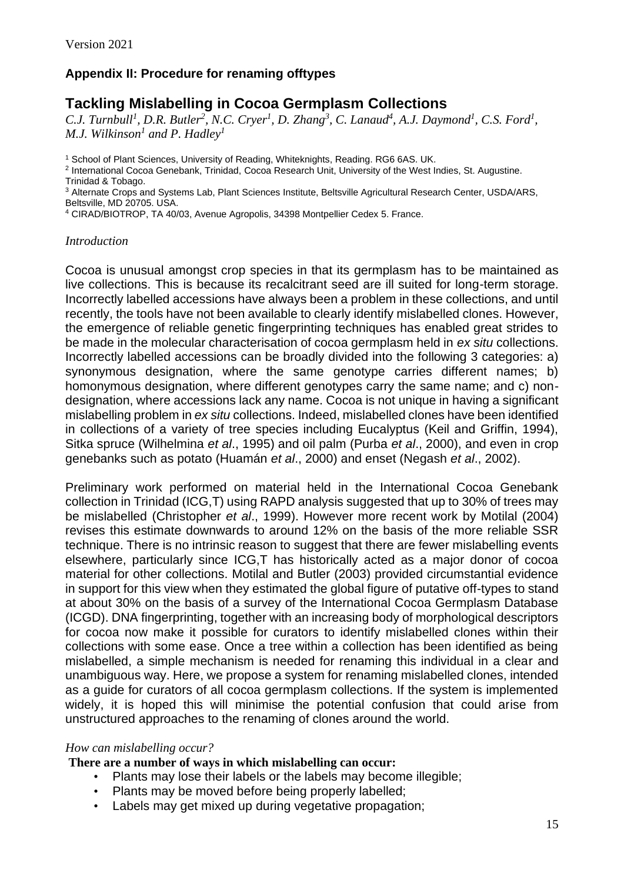# **Appendix II: Procedure for renaming offtypes**

# **Tackling Mislabelling in Cocoa Germplasm Collections**

*C.J. Turnbull<sup>1</sup>, D.R. Butler<sup>2</sup>, N.C. Cryer<sup>1</sup>, D. Zhang<sup>3</sup>, C. Lanaud<sup>4</sup>, A.J. Daymond<sup>1</sup>, C.S. Ford<sup>1</sup>, M.J. Wilkinson<sup>1</sup> and P. Hadley<sup>1</sup>*

<sup>1</sup> School of Plant Sciences, University of Reading, Whiteknights, Reading. RG6 6AS. UK.

2 International Cocoa Genebank, Trinidad, Cocoa Research Unit, University of the West Indies, St. Augustine. Trinidad & Tobago.

<sup>3</sup> Alternate Crops and Systems Lab, Plant Sciences Institute, Beltsville Agricultural Research Center, USDA/ARS, Beltsville, MD 20705. USA.

<sup>4</sup> CIRAD/BIOTROP, TA 40/03, Avenue Agropolis, 34398 Montpellier Cedex 5. France.

## *Introduction*

Cocoa is unusual amongst crop species in that its germplasm has to be maintained as live collections. This is because its recalcitrant seed are ill suited for long-term storage. Incorrectly labelled accessions have always been a problem in these collections, and until recently, the tools have not been available to clearly identify mislabelled clones. However, the emergence of reliable genetic fingerprinting techniques has enabled great strides to be made in the molecular characterisation of cocoa germplasm held in *ex situ* collections. Incorrectly labelled accessions can be broadly divided into the following 3 categories: a) synonymous designation, where the same genotype carries different names; b) homonymous designation, where different genotypes carry the same name; and c) nondesignation, where accessions lack any name. Cocoa is not unique in having a significant mislabelling problem in *ex situ* collections. Indeed, mislabelled clones have been identified in collections of a variety of tree species including Eucalyptus (Keil and Griffin, 1994), Sitka spruce (Wilhelmina *et al*., 1995) and oil palm (Purba *et al*., 2000), and even in crop genebanks such as potato (Huamán *et al*., 2000) and enset (Negash *et al*., 2002).

Preliminary work performed on material held in the International Cocoa Genebank collection in Trinidad (ICG,T) using RAPD analysis suggested that up to 30% of trees may be mislabelled (Christopher *et al*., 1999). However more recent work by Motilal (2004) revises this estimate downwards to around 12% on the basis of the more reliable SSR technique. There is no intrinsic reason to suggest that there are fewer mislabelling events elsewhere, particularly since ICG,T has historically acted as a major donor of cocoa material for other collections. Motilal and Butler (2003) provided circumstantial evidence in support for this view when they estimated the global figure of putative off-types to stand at about 30% on the basis of a survey of the International Cocoa Germplasm Database (ICGD). DNA fingerprinting, together with an increasing body of morphological descriptors for cocoa now make it possible for curators to identify mislabelled clones within their collections with some ease. Once a tree within a collection has been identified as being mislabelled, a simple mechanism is needed for renaming this individual in a clear and unambiguous way. Here, we propose a system for renaming mislabelled clones, intended as a guide for curators of all cocoa germplasm collections. If the system is implemented widely, it is hoped this will minimise the potential confusion that could arise from unstructured approaches to the renaming of clones around the world.

## *How can mislabelling occur?*

**There are a number of ways in which mislabelling can occur:**

- Plants may lose their labels or the labels may become illegible;
- Plants may be moved before being properly labelled;
- Labels may get mixed up during vegetative propagation;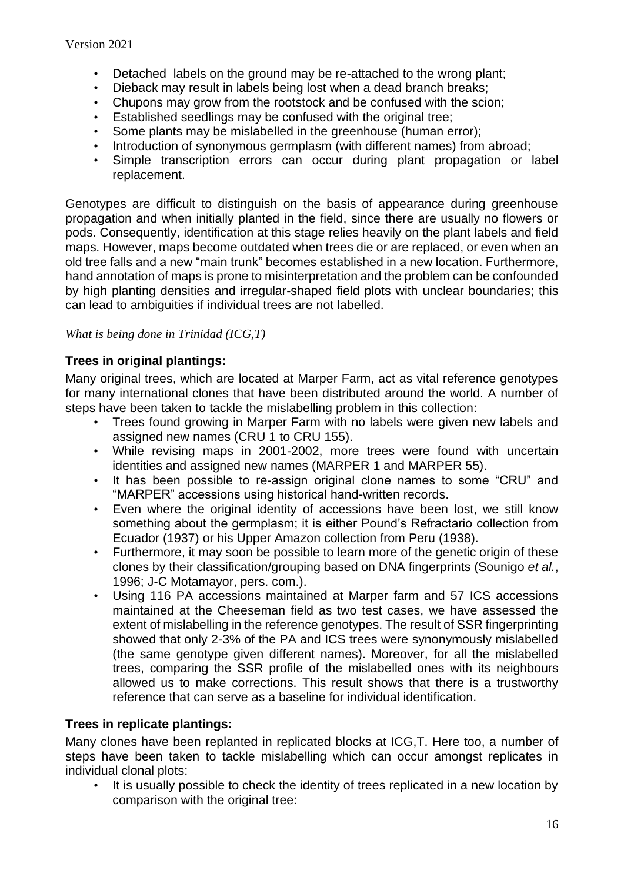- Detached labels on the ground may be re-attached to the wrong plant;
- Dieback may result in labels being lost when a dead branch breaks;
- Chupons may grow from the rootstock and be confused with the scion;
- Established seedlings may be confused with the original tree;
- Some plants may be mislabelled in the greenhouse (human error);
- Introduction of synonymous germplasm (with different names) from abroad;
- Simple transcription errors can occur during plant propagation or label replacement.

Genotypes are difficult to distinguish on the basis of appearance during greenhouse propagation and when initially planted in the field, since there are usually no flowers or pods. Consequently, identification at this stage relies heavily on the plant labels and field maps. However, maps become outdated when trees die or are replaced, or even when an old tree falls and a new "main trunk" becomes established in a new location. Furthermore, hand annotation of maps is prone to misinterpretation and the problem can be confounded by high planting densities and irregular-shaped field plots with unclear boundaries; this can lead to ambiguities if individual trees are not labelled.

## *What is being done in Trinidad (ICG,T)*

## **Trees in original plantings:**

Many original trees, which are located at Marper Farm, act as vital reference genotypes for many international clones that have been distributed around the world. A number of steps have been taken to tackle the mislabelling problem in this collection:

- Trees found growing in Marper Farm with no labels were given new labels and assigned new names (CRU 1 to CRU 155).
- While revising maps in 2001-2002, more trees were found with uncertain identities and assigned new names (MARPER 1 and MARPER 55).
- It has been possible to re-assign original clone names to some "CRU" and "MARPER" accessions using historical hand-written records.
- Even where the original identity of accessions have been lost, we still know something about the germplasm; it is either Pound's Refractario collection from Ecuador (1937) or his Upper Amazon collection from Peru (1938).
- Furthermore, it may soon be possible to learn more of the genetic origin of these clones by their classification/grouping based on DNA fingerprints (Sounigo *et al.*, 1996; J-C Motamayor, pers. com.).
- Using 116 PA accessions maintained at Marper farm and 57 ICS accessions maintained at the Cheeseman field as two test cases, we have assessed the extent of mislabelling in the reference genotypes. The result of SSR fingerprinting showed that only 2-3% of the PA and ICS trees were synonymously mislabelled (the same genotype given different names). Moreover, for all the mislabelled trees, comparing the SSR profile of the mislabelled ones with its neighbours allowed us to make corrections. This result shows that there is a trustworthy reference that can serve as a baseline for individual identification.

## **Trees in replicate plantings:**

Many clones have been replanted in replicated blocks at ICG,T. Here too, a number of steps have been taken to tackle mislabelling which can occur amongst replicates in individual clonal plots:

• It is usually possible to check the identity of trees replicated in a new location by comparison with the original tree: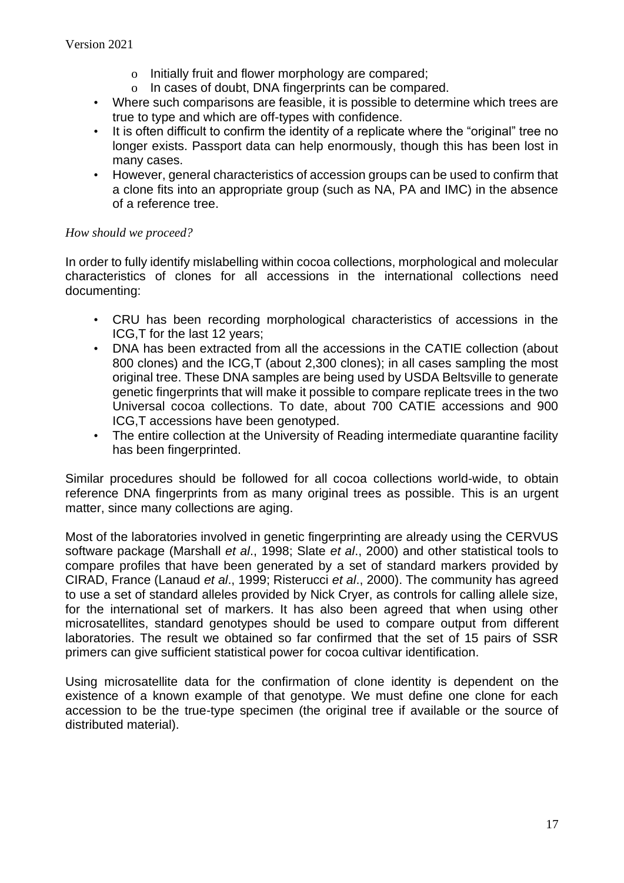- o Initially fruit and flower morphology are compared;
- o In cases of doubt, DNA fingerprints can be compared.
- Where such comparisons are feasible, it is possible to determine which trees are true to type and which are off-types with confidence.
- It is often difficult to confirm the identity of a replicate where the "original" tree no longer exists. Passport data can help enormously, though this has been lost in many cases.
- However, general characteristics of accession groups can be used to confirm that a clone fits into an appropriate group (such as NA, PA and IMC) in the absence of a reference tree.

## *How should we proceed?*

In order to fully identify mislabelling within cocoa collections, morphological and molecular characteristics of clones for all accessions in the international collections need documenting:

- CRU has been recording morphological characteristics of accessions in the ICG,T for the last 12 years;
- DNA has been extracted from all the accessions in the CATIE collection (about 800 clones) and the ICG,T (about 2,300 clones); in all cases sampling the most original tree. These DNA samples are being used by USDA Beltsville to generate genetic fingerprints that will make it possible to compare replicate trees in the two Universal cocoa collections. To date, about 700 CATIE accessions and 900 ICG,T accessions have been genotyped.
- The entire collection at the University of Reading intermediate quarantine facility has been fingerprinted.

Similar procedures should be followed for all cocoa collections world-wide, to obtain reference DNA fingerprints from as many original trees as possible. This is an urgent matter, since many collections are aging.

Most of the laboratories involved in genetic fingerprinting are already using the CERVUS software package (Marshall *et al*., 1998; Slate *et al*., 2000) and other statistical tools to compare profiles that have been generated by a set of standard markers provided by CIRAD, France (Lanaud *et al*., 1999; Risterucci *et al*., 2000). The community has agreed to use a set of standard alleles provided by Nick Cryer, as controls for calling allele size, for the international set of markers. It has also been agreed that when using other microsatellites, standard genotypes should be used to compare output from different laboratories. The result we obtained so far confirmed that the set of 15 pairs of SSR primers can give sufficient statistical power for cocoa cultivar identification.

Using microsatellite data for the confirmation of clone identity is dependent on the existence of a known example of that genotype. We must define one clone for each accession to be the true-type specimen (the original tree if available or the source of distributed material).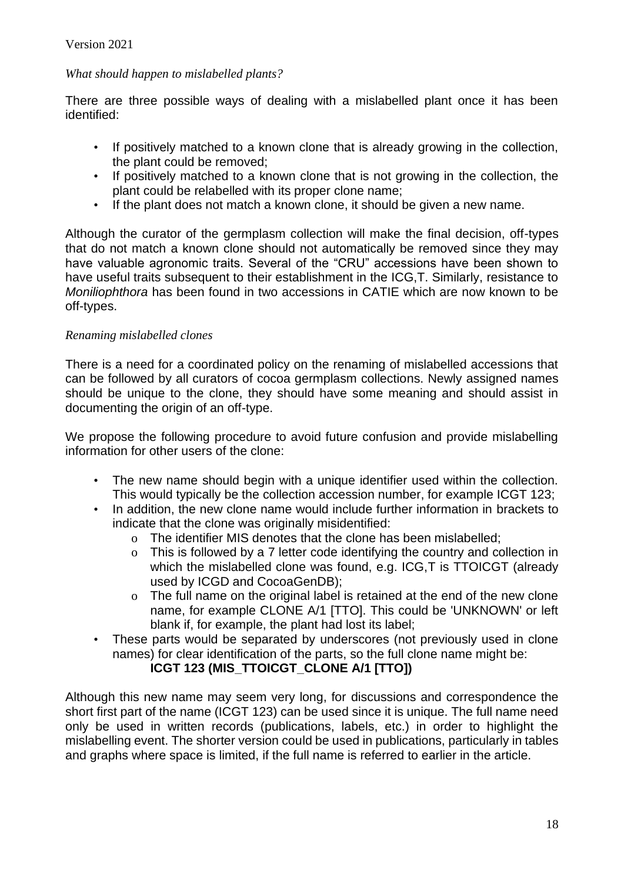## *What should happen to mislabelled plants?*

There are three possible ways of dealing with a mislabelled plant once it has been identified:

- If positively matched to a known clone that is already growing in the collection, the plant could be removed;
- If positively matched to a known clone that is not growing in the collection, the plant could be relabelled with its proper clone name;
- If the plant does not match a known clone, it should be given a new name.

Although the curator of the germplasm collection will make the final decision, off-types that do not match a known clone should not automatically be removed since they may have valuable agronomic traits. Several of the "CRU" accessions have been shown to have useful traits subsequent to their establishment in the ICG,T. Similarly, resistance to *Moniliophthora* has been found in two accessions in CATIE which are now known to be off-types.

## *Renaming mislabelled clones*

There is a need for a coordinated policy on the renaming of mislabelled accessions that can be followed by all curators of cocoa germplasm collections. Newly assigned names should be unique to the clone, they should have some meaning and should assist in documenting the origin of an off-type.

We propose the following procedure to avoid future confusion and provide mislabelling information for other users of the clone:

- The new name should begin with a unique identifier used within the collection. This would typically be the collection accession number, for example ICGT 123;
- In addition, the new clone name would include further information in brackets to indicate that the clone was originally misidentified:
	- o The identifier MIS denotes that the clone has been mislabelled;
	- o This is followed by a 7 letter code identifying the country and collection in which the mislabelled clone was found, e.g. ICG,T is TTOICGT (already used by ICGD and CocoaGenDB);
	- o The full name on the original label is retained at the end of the new clone name, for example CLONE A/1 [TTO]. This could be 'UNKNOWN' or left blank if, for example, the plant had lost its label;
- These parts would be separated by underscores (not previously used in clone names) for clear identification of the parts, so the full clone name might be:

## **ICGT 123 (MIS\_TTOICGT\_CLONE A/1 [TTO])**

Although this new name may seem very long, for discussions and correspondence the short first part of the name (ICGT 123) can be used since it is unique. The full name need only be used in written records (publications, labels, etc.) in order to highlight the mislabelling event. The shorter version could be used in publications, particularly in tables and graphs where space is limited, if the full name is referred to earlier in the article.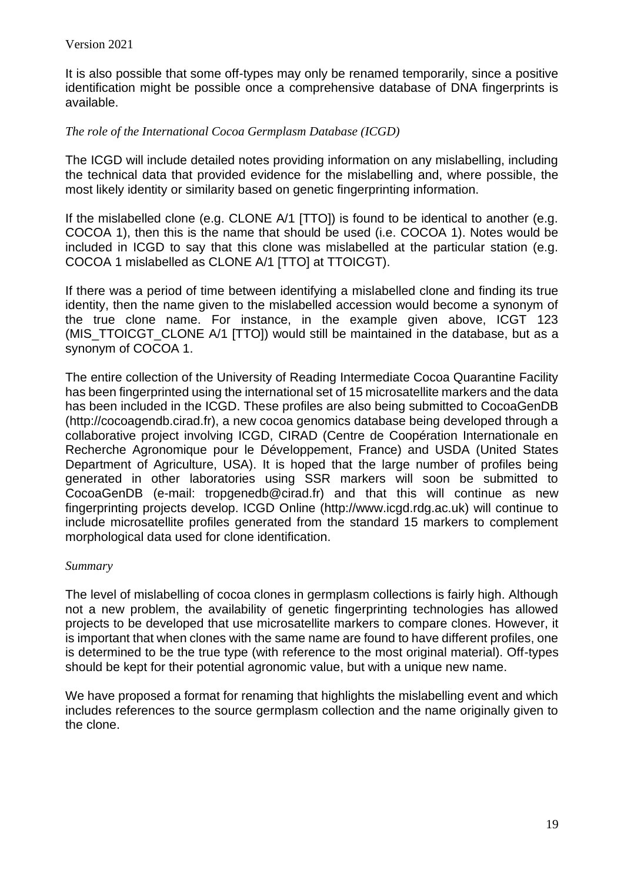It is also possible that some off-types may only be renamed temporarily, since a positive identification might be possible once a comprehensive database of DNA fingerprints is available.

## *The role of the International Cocoa Germplasm Database (ICGD)*

The ICGD will include detailed notes providing information on any mislabelling, including the technical data that provided evidence for the mislabelling and, where possible, the most likely identity or similarity based on genetic fingerprinting information.

If the mislabelled clone (e.g. CLONE A/1 [TTO]) is found to be identical to another (e.g. COCOA 1), then this is the name that should be used (i.e. COCOA 1). Notes would be included in ICGD to say that this clone was mislabelled at the particular station (e.g. COCOA 1 mislabelled as CLONE A/1 [TTO] at TTOICGT).

If there was a period of time between identifying a mislabelled clone and finding its true identity, then the name given to the mislabelled accession would become a synonym of the true clone name. For instance, in the example given above, ICGT 123 (MIS TTOICGT CLONE A/1 [TTO]) would still be maintained in the database, but as a synonym of COCOA 1.

The entire collection of the University of Reading Intermediate Cocoa Quarantine Facility has been fingerprinted using the international set of 15 microsatellite markers and the data has been included in the ICGD. These profiles are also being submitted to CocoaGenDB (http://cocoagendb.cirad.fr), a new cocoa genomics database being developed through a collaborative project involving ICGD, CIRAD (Centre de Coopération Internationale en Recherche Agronomique pour le Développement, France) and USDA (United States Department of Agriculture, USA). It is hoped that the large number of profiles being generated in other laboratories using SSR markers will soon be submitted to CocoaGenDB (e-mail: tropgenedb@cirad.fr) and that this will continue as new fingerprinting projects develop. ICGD Online (http://www.icgd.rdg.ac.uk) will continue to include microsatellite profiles generated from the standard 15 markers to complement morphological data used for clone identification.

### *Summary*

The level of mislabelling of cocoa clones in germplasm collections is fairly high. Although not a new problem, the availability of genetic fingerprinting technologies has allowed projects to be developed that use microsatellite markers to compare clones. However, it is important that when clones with the same name are found to have different profiles, one is determined to be the true type (with reference to the most original material). Off-types should be kept for their potential agronomic value, but with a unique new name.

We have proposed a format for renaming that highlights the mislabelling event and which includes references to the source germplasm collection and the name originally given to the clone.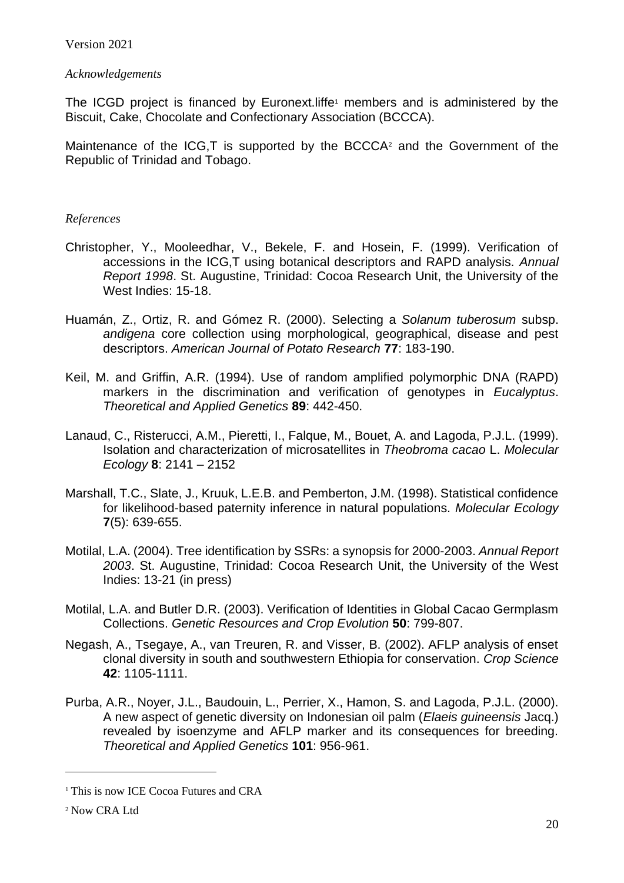## *Acknowledgements*

The ICGD project is financed by Euronext. liffe<sup>1</sup> members and is administered by the Biscuit, Cake, Chocolate and Confectionary Association (BCCCA).

Maintenance of the ICG, T is supported by the BCCCA<sup>2</sup> and the Government of the Republic of Trinidad and Tobago.

## *References*

- Christopher, Y., Mooleedhar, V., Bekele, F. and Hosein, F. (1999). Verification of accessions in the ICG,T using botanical descriptors and RAPD analysis. *Annual Report 1998*. St. Augustine, Trinidad: Cocoa Research Unit, the University of the West Indies: 15-18.
- Huamán, Z., Ortiz, R. and Gómez R. (2000). Selecting a *Solanum tuberosum* subsp. *andigena* core collection using morphological, geographical, disease and pest descriptors. *American Journal of Potato Research* **77**: 183-190.
- Keil, M. and Griffin, A.R. (1994). Use of random amplified polymorphic DNA (RAPD) markers in the discrimination and verification of genotypes in *Eucalyptus*. *Theoretical and Applied Genetics* **89**: 442-450.
- Lanaud, C., Risterucci, A.M., Pieretti, I., Falque, M., Bouet, A. and Lagoda, P.J.L. (1999). Isolation and characterization of microsatellites in *Theobroma cacao* L. *Molecular Ecology* **8**: 2141 – 2152
- Marshall, T.C., Slate, J., Kruuk, L.E.B. and Pemberton, J.M. (1998). Statistical confidence for likelihood-based paternity inference in natural populations. *Molecular Ecology* **7**(5): 639-655.
- Motilal, L.A. (2004). Tree identification by SSRs: a synopsis for 2000-2003. *Annual Report 2003*. St. Augustine, Trinidad: Cocoa Research Unit, the University of the West Indies: 13-21 (in press)
- Motilal, L.A. and Butler D.R. (2003). Verification of Identities in Global Cacao Germplasm Collections. *Genetic Resources and Crop Evolution* **50**: 799-807.
- Negash, A., Tsegaye, A., van Treuren, R. and Visser, B. (2002). AFLP analysis of enset clonal diversity in south and southwestern Ethiopia for conservation. *Crop Science*  **42**: 1105-1111.
- Purba, A.R., Noyer, J.L., Baudouin, L., Perrier, X., Hamon, S. and Lagoda, P.J.L. (2000). A new aspect of genetic diversity on Indonesian oil palm (*Elaeis guineensis* Jacq.) revealed by isoenzyme and AFLP marker and its consequences for breeding. *Theoretical and Applied Genetics* **101**: 956-961.

<sup>&</sup>lt;sup>1</sup> This is now ICE Cocoa Futures and CRA

<sup>2</sup> Now CRA Ltd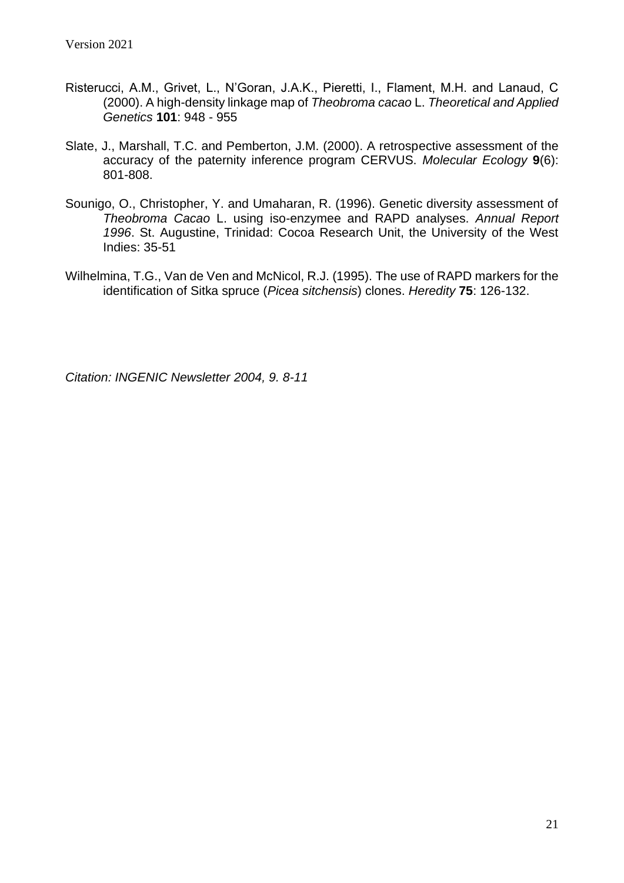- Risterucci, A.M., Grivet, L., N'Goran, J.A.K., Pieretti, I., Flament, M.H. and Lanaud, C (2000). A high-density linkage map of *Theobroma cacao* L. *Theoretical and Applied Genetics* **101**: 948 - 955
- Slate, J., Marshall, T.C. and Pemberton, J.M. (2000). A retrospective assessment of the accuracy of the paternity inference program CERVUS. *Molecular Ecology* **9**(6): 801-808.
- Sounigo, O., Christopher, Y. and Umaharan, R. (1996). Genetic diversity assessment of *Theobroma Cacao* L. using iso-enzymee and RAPD analyses. *Annual Report 1996*. St. Augustine, Trinidad: Cocoa Research Unit, the University of the West Indies: 35-51
- Wilhelmina, T.G., Van de Ven and McNicol, R.J. (1995). The use of RAPD markers for the identification of Sitka spruce (*Picea sitchensis*) clones. *Heredity* **75**: 126-132.

*Citation: INGENIC Newsletter 2004, 9. 8-11*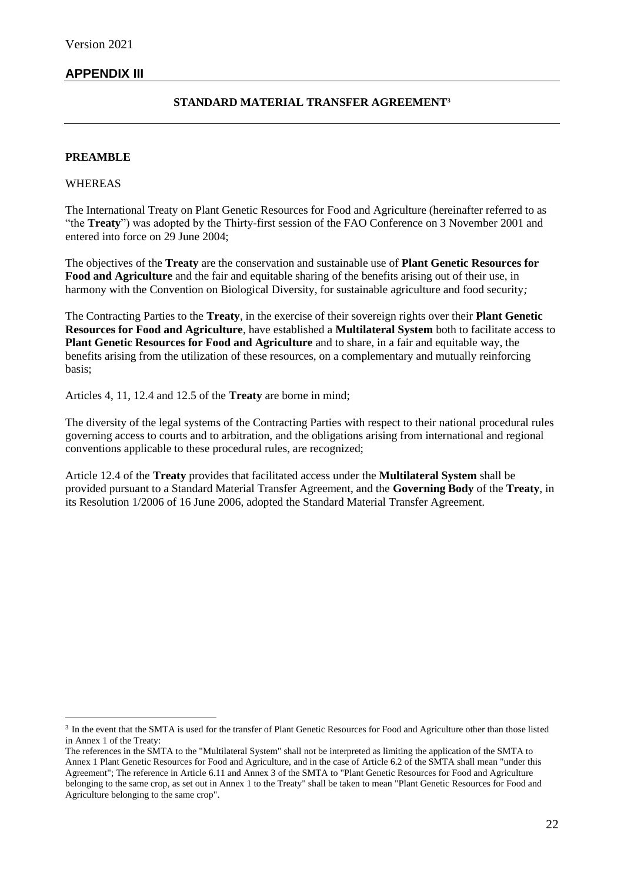## **APPENDIX III**

#### **STANDARD MATERIAL TRANSFER AGREEMENT<sup>3</sup>**

#### **PREAMBLE**

#### WHEREAS

The International Treaty on Plant Genetic Resources for Food and Agriculture (hereinafter referred to as "the **Treaty**") was adopted by the Thirty-first session of the FAO Conference on 3 November 2001 and entered into force on 29 June 2004;

The objectives of the **Treaty** are the conservation and sustainable use of **Plant Genetic Resources for Food and Agriculture** and the fair and equitable sharing of the benefits arising out of their use, in harmony with the Convention on Biological Diversity, for sustainable agriculture and food security*;*

The Contracting Parties to the **Treaty**, in the exercise of their sovereign rights over their **Plant Genetic Resources for Food and Agriculture**, have established a **Multilateral System** both to facilitate access to **Plant Genetic Resources for Food and Agriculture** and to share, in a fair and equitable way, the benefits arising from the utilization of these resources, on a complementary and mutually reinforcing basis;

Articles 4, 11, 12.4 and 12.5 of the **Treaty** are borne in mind;

The diversity of the legal systems of the Contracting Parties with respect to their national procedural rules governing access to courts and to arbitration, and the obligations arising from international and regional conventions applicable to these procedural rules, are recognized;

Article 12.4 of the **Treaty** provides that facilitated access under the **Multilateral System** shall be provided pursuant to a Standard Material Transfer Agreement, and the **Governing Body** of the **Treaty**, in its Resolution 1/2006 of 16 June 2006, adopted the Standard Material Transfer Agreement.

<sup>&</sup>lt;sup>3</sup> In the event that the SMTA is used for the transfer of Plant Genetic Resources for Food and Agriculture other than those listed in Annex 1 of the Treaty:

The references in the SMTA to the "Multilateral System" shall not be interpreted as limiting the application of the SMTA to Annex 1 Plant Genetic Resources for Food and Agriculture, and in the case of Article 6.2 of the SMTA shall mean "under this Agreement"; The reference in Article 6.11 and Annex 3 of the SMTA to "Plant Genetic Resources for Food and Agriculture belonging to the same crop, as set out in Annex 1 to the Treaty" shall be taken to mean "Plant Genetic Resources for Food and Agriculture belonging to the same crop".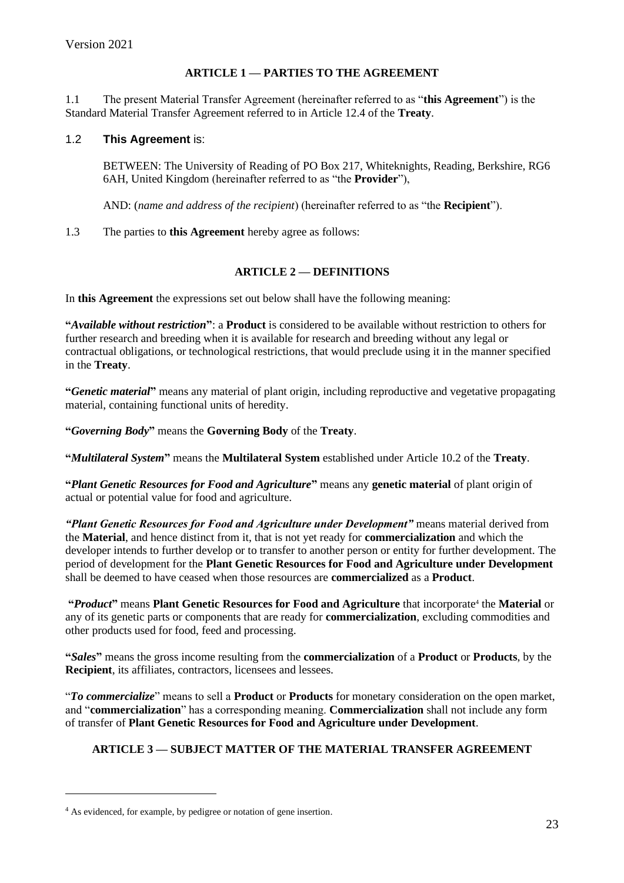### **ARTICLE 1 — PARTIES TO THE AGREEMENT**

1.1 The present Material Transfer Agreement (hereinafter referred to as "**this Agreement**") is the Standard Material Transfer Agreement referred to in Article 12.4 of the **Treaty**.

#### 1.2 **This Agreement** is:

BETWEEN: The University of Reading of PO Box 217, Whiteknights, Reading, Berkshire, RG6 6AH, United Kingdom (hereinafter referred to as "the **Provider**"),

AND: (*name and address of the recipient*) (hereinafter referred to as "the **Recipient**").

1.3 The parties to **this Agreement** hereby agree as follows:

#### **ARTICLE 2 — DEFINITIONS**

In **this Agreement** the expressions set out below shall have the following meaning:

**"***Available without restriction***"**: a **Product** is considered to be available without restriction to others for further research and breeding when it is available for research and breeding without any legal or contractual obligations, or technological restrictions, that would preclude using it in the manner specified in the **Treaty**.

**"***Genetic material***"** means any material of plant origin, including reproductive and vegetative propagating material, containing functional units of heredity.

**"***Governing Body***"** means the **Governing Body** of the **Treaty**.

**"***Multilateral System***"** means the **Multilateral System** established under Article 10.2 of the **Treaty**.

**"***Plant Genetic Resources for Food and Agriculture***"** means any **genetic material** of plant origin of actual or potential value for food and agriculture.

*"Plant Genetic Resources for Food and Agriculture under Development"* means material derived from the **Material**, and hence distinct from it, that is not yet ready for **commercialization** and which the developer intends to further develop or to transfer to another person or entity for further development. The period of development for the **Plant Genetic Resources for Food and Agriculture under Development** shall be deemed to have ceased when those resources are **commercialized** as a **Product**.

**"***Product***"** means **Plant Genetic Resources for Food and Agriculture** that incorporate<sup>4</sup> the **Material** or any of its genetic parts or components that are ready for **commercialization**, excluding commodities and other products used for food, feed and processing.

**"***Sales***"** means the gross income resulting from the **commercialization** of a **Product** or **Products**, by the **Recipient**, its affiliates, contractors, licensees and lessees.

"*To commercialize*" means to sell a **Product** or **Products** for monetary consideration on the open market, and "**commercialization**" has a corresponding meaning. **Commercialization** shall not include any form of transfer of **Plant Genetic Resources for Food and Agriculture under Development**.

## **ARTICLE 3 — SUBJECT MATTER OF THE MATERIAL TRANSFER AGREEMENT**

<sup>4</sup> As evidenced, for example, by pedigree or notation of gene insertion.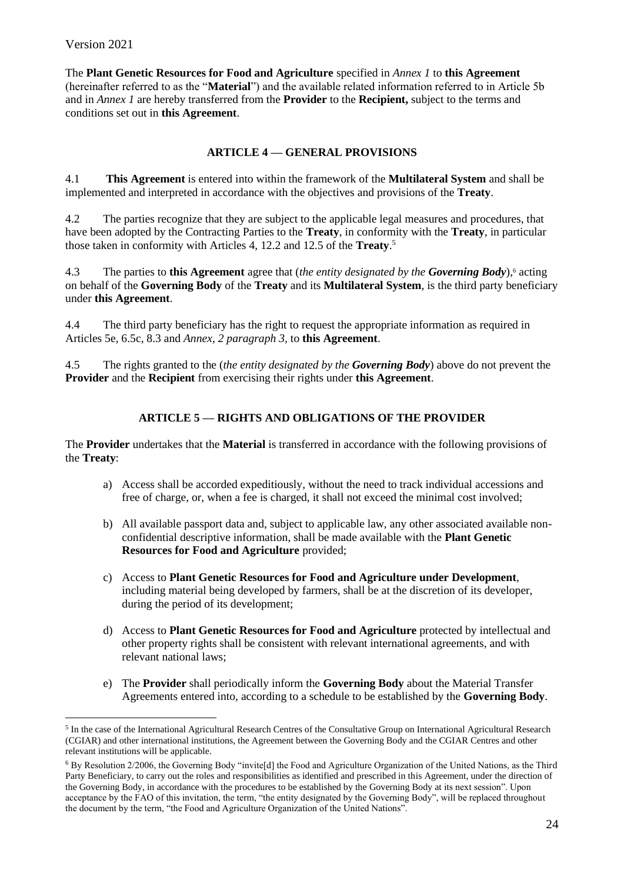The **Plant Genetic Resources for Food and Agriculture** specified in *Annex 1* to **this Agreement** (hereinafter referred to as the "**Material**") and the available related information referred to in Article 5b and in *Annex 1* are hereby transferred from the **Provider** to the **Recipient,** subject to the terms and conditions set out in **this Agreement**.

### **ARTICLE 4 — GENERAL PROVISIONS**

4.1 **This Agreement** is entered into within the framework of the **Multilateral System** and shall be implemented and interpreted in accordance with the objectives and provisions of the **Treaty**.

4.2 The parties recognize that they are subject to the applicable legal measures and procedures, that have been adopted by the Contracting Parties to the **Treaty**, in conformity with the **Treaty**, in particular those taken in conformity with Articles 4, 12.2 and 12.5 of the **Treaty**. 5

4.3 The parties to **this Agreement** agree that (*the entity designated by the Governing Body*),<sup>6</sup> acting on behalf of the **Governing Body** of the **Treaty** and its **Multilateral System**, is the third party beneficiary under **this Agreement**.

4.4 The third party beneficiary has the right to request the appropriate information as required in Articles 5e, 6.5c, 8.3 and *Annex, 2 paragraph 3,* to **this Agreement**.

4.5 The rights granted to the (*the entity designated by the Governing Body*) above do not prevent the **Provider** and the **Recipient** from exercising their rights under **this Agreement**.

### **ARTICLE 5 — RIGHTS AND OBLIGATIONS OF THE PROVIDER**

The **Provider** undertakes that the **Material** is transferred in accordance with the following provisions of the **Treaty**:

- a) Access shall be accorded expeditiously, without the need to track individual accessions and free of charge, or, when a fee is charged, it shall not exceed the minimal cost involved;
- b) All available passport data and, subject to applicable law, any other associated available nonconfidential descriptive information, shall be made available with the **Plant Genetic Resources for Food and Agriculture** provided;
- c) Access to **Plant Genetic Resources for Food and Agriculture under Development**, including material being developed by farmers, shall be at the discretion of its developer, during the period of its development;
- d) Access to **Plant Genetic Resources for Food and Agriculture** protected by intellectual and other property rights shall be consistent with relevant international agreements, and with relevant national laws;
- e) The **Provider** shall periodically inform the **Governing Body** about the Material Transfer Agreements entered into, according to a schedule to be established by the **Governing Body**.

<sup>&</sup>lt;sup>5</sup> In the case of the International Agricultural Research Centres of the Consultative Group on International Agricultural Research (CGIAR) and other international institutions, the Agreement between the Governing Body and the CGIAR Centres and other relevant institutions will be applicable.

<sup>6</sup> By Resolution 2/2006, the Governing Body "invite[d] the Food and Agriculture Organization of the United Nations, as the Third Party Beneficiary, to carry out the roles and responsibilities as identified and prescribed in this Agreement, under the direction of the Governing Body, in accordance with the procedures to be established by the Governing Body at its next session". Upon acceptance by the FAO of this invitation, the term, "the entity designated by the Governing Body", will be replaced throughout the document by the term, "the Food and Agriculture Organization of the United Nations".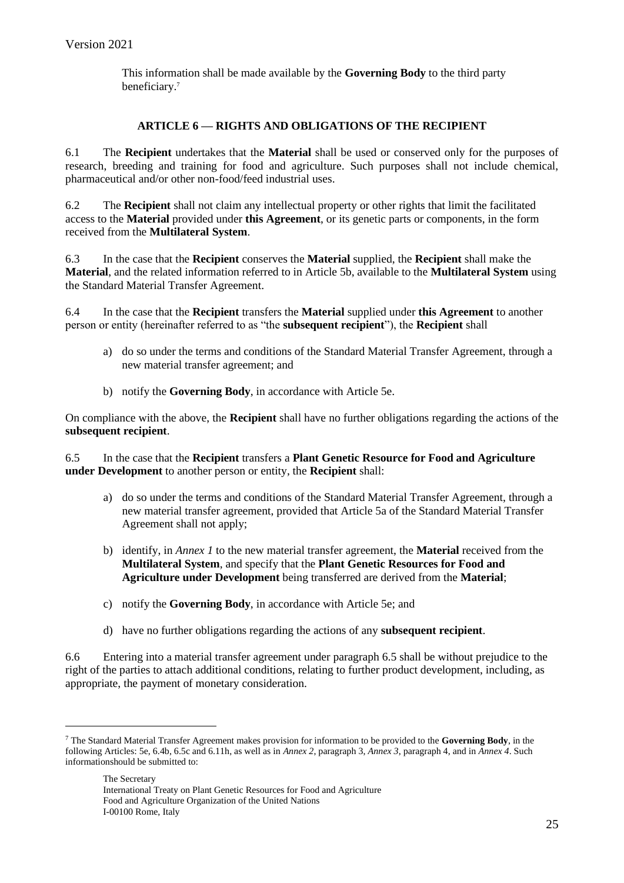This information shall be made available by the **Governing Body** to the third party beneficiary.<sup>7</sup>

### **ARTICLE 6 — RIGHTS AND OBLIGATIONS OF THE RECIPIENT**

6.1 The **Recipient** undertakes that the **Material** shall be used or conserved only for the purposes of research, breeding and training for food and agriculture. Such purposes shall not include chemical, pharmaceutical and/or other non-food/feed industrial uses.

6.2 The **Recipient** shall not claim any intellectual property or other rights that limit the facilitated access to the **Material** provided under **this Agreement**, or its genetic parts or components, in the form received from the **Multilateral System**.

6.3 In the case that the **Recipient** conserves the **Material** supplied, the **Recipient** shall make the **Material**, and the related information referred to in Article 5b, available to the **Multilateral System** using the Standard Material Transfer Agreement.

6.4 In the case that the **Recipient** transfers the **Material** supplied under **this Agreement** to another person or entity (hereinafter referred to as "the **subsequent recipient**"), the **Recipient** shall

- a) do so under the terms and conditions of the Standard Material Transfer Agreement, through a new material transfer agreement; and
- b) notify the **Governing Body**, in accordance with Article 5e.

On compliance with the above, the **Recipient** shall have no further obligations regarding the actions of the **subsequent recipient**.

6.5 In the case that the **Recipient** transfers a **Plant Genetic Resource for Food and Agriculture under Development** to another person or entity, the **Recipient** shall:

- a) do so under the terms and conditions of the Standard Material Transfer Agreement, through a new material transfer agreement, provided that Article 5a of the Standard Material Transfer Agreement shall not apply;
- b) identify, in *Annex 1* to the new material transfer agreement, the **Material** received from the **Multilateral System**, and specify that the **Plant Genetic Resources for Food and Agriculture under Development** being transferred are derived from the **Material**;
- c) notify the **Governing Body**, in accordance with Article 5e; and
- d) have no further obligations regarding the actions of any **subsequent recipient**.

6.6 Entering into a material transfer agreement under paragraph 6.5 shall be without prejudice to the right of the parties to attach additional conditions, relating to further product development, including, as appropriate, the payment of monetary consideration.

<sup>7</sup> The Standard Material Transfer Agreement makes provision for information to be provided to the **Governing Body**, in the following Articles: 5e, 6.4b, 6.5c and 6.11h, as well as in *Annex 2*, paragraph 3, *Annex 3*, paragraph 4, and in *Annex 4*. Such informationshould be submitted to: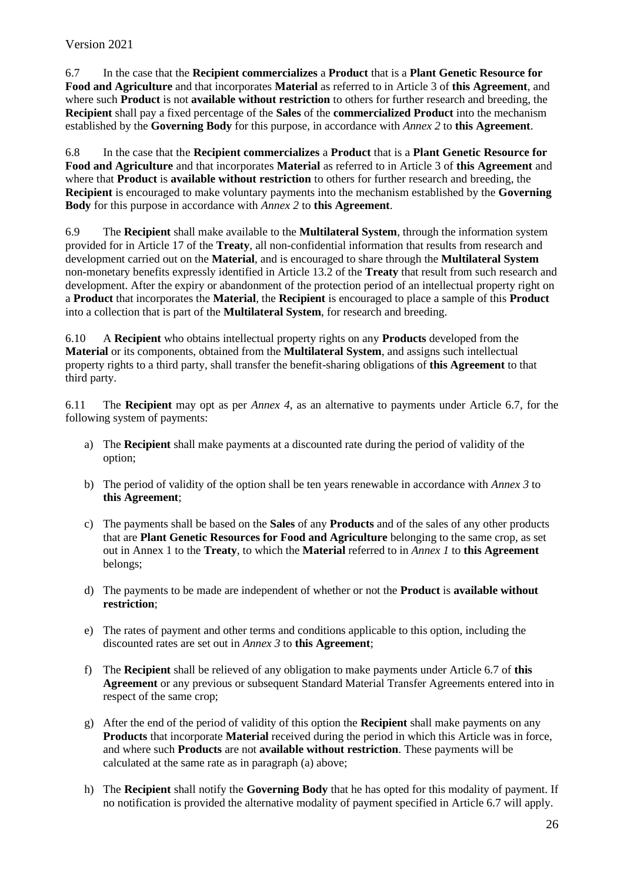6.7 In the case that the **Recipient commercializes** a **Product** that is a **Plant Genetic Resource for Food and Agriculture** and that incorporates **Material** as referred to in Article 3 of **this Agreement**, and where such **Product** is not **available without restriction** to others for further research and breeding, the **Recipient** shall pay a fixed percentage of the **Sales** of the **commercialized Product** into the mechanism established by the **Governing Body** for this purpose, in accordance with *Annex 2* to **this Agreement**.

6.8 In the case that the **Recipient commercializes** a **Product** that is a **Plant Genetic Resource for Food and Agriculture** and that incorporates **Material** as referred to in Article 3 of **this Agreement** and where that **Product** is **available without restriction** to others for further research and breeding, the **Recipient** is encouraged to make voluntary payments into the mechanism established by the **Governing Body** for this purpose in accordance with *Annex 2* to **this Agreement**.

6.9 The **Recipient** shall make available to the **Multilateral System**, through the information system provided for in Article 17 of the **Treaty**, all non-confidential information that results from research and development carried out on the **Material**, and is encouraged to share through the **Multilateral System** non-monetary benefits expressly identified in Article 13.2 of the **Treaty** that result from such research and development. After the expiry or abandonment of the protection period of an intellectual property right on a **Product** that incorporates the **Material**, the **Recipient** is encouraged to place a sample of this **Product** into a collection that is part of the **Multilateral System**, for research and breeding.

6.10 A **Recipient** who obtains intellectual property rights on any **Products** developed from the **Material** or its components, obtained from the **Multilateral System**, and assigns such intellectual property rights to a third party, shall transfer the benefit-sharing obligations of **this Agreement** to that third party.

6.11 The **Recipient** may opt as per *Annex 4*, as an alternative to payments under Article 6.7, for the following system of payments:

- a) The **Recipient** shall make payments at a discounted rate during the period of validity of the option;
- b) The period of validity of the option shall be ten years renewable in accordance with *Annex 3* to **this Agreement**;
- c) The payments shall be based on the **Sales** of any **Products** and of the sales of any other products that are **Plant Genetic Resources for Food and Agriculture** belonging to the same crop, as set out in Annex 1 to the **Treaty**, to which the **Material** referred to in *Annex 1* to **this Agreement** belongs;
- d) The payments to be made are independent of whether or not the **Product** is **available without restriction**;
- e) The rates of payment and other terms and conditions applicable to this option, including the discounted rates are set out in *Annex 3* to **this Agreement**;
- f) The **Recipient** shall be relieved of any obligation to make payments under Article 6.7 of **this Agreement** or any previous or subsequent Standard Material Transfer Agreements entered into in respect of the same crop;
- g) After the end of the period of validity of this option the **Recipient** shall make payments on any **Products** that incorporate **Material** received during the period in which this Article was in force, and where such **Products** are not **available without restriction**. These payments will be calculated at the same rate as in paragraph (a) above;
- h) The **Recipient** shall notify the **Governing Body** that he has opted for this modality of payment. If no notification is provided the alternative modality of payment specified in Article 6.7 will apply.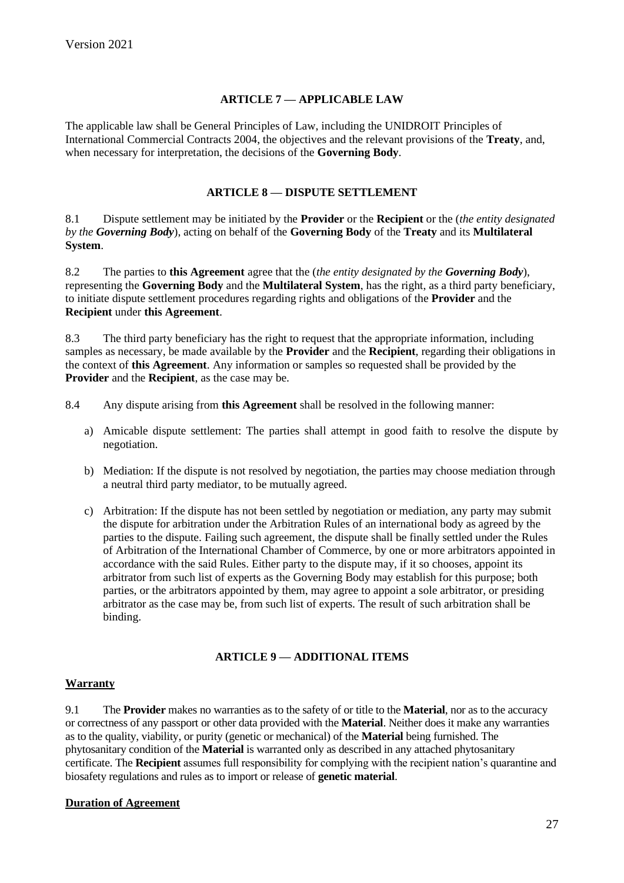### **ARTICLE 7 — APPLICABLE LAW**

The applicable law shall be General Principles of Law, including the UNIDROIT Principles of International Commercial Contracts 2004, the objectives and the relevant provisions of the **Treaty**, and, when necessary for interpretation, the decisions of the **Governing Body**.

### **ARTICLE 8 — DISPUTE SETTLEMENT**

8.1 Dispute settlement may be initiated by the **Provider** or the **Recipient** or the (*the entity designated by the Governing Body*), acting on behalf of the **Governing Body** of the **Treaty** and its **Multilateral System**.

8.2 The parties to **this Agreement** agree that the (*the entity designated by the Governing Body*), representing the **Governing Body** and the **Multilateral System**, has the right, as a third party beneficiary, to initiate dispute settlement procedures regarding rights and obligations of the **Provider** and the **Recipient** under **this Agreement**.

8.3 The third party beneficiary has the right to request that the appropriate information, including samples as necessary, be made available by the **Provider** and the **Recipient**, regarding their obligations in the context of **this Agreement**. Any information or samples so requested shall be provided by the **Provider** and the **Recipient**, as the case may be.

- 8.4 Any dispute arising from **this Agreement** shall be resolved in the following manner:
	- a) Amicable dispute settlement: The parties shall attempt in good faith to resolve the dispute by negotiation.
	- b) Mediation: If the dispute is not resolved by negotiation, the parties may choose mediation through a neutral third party mediator, to be mutually agreed.
	- c) Arbitration: If the dispute has not been settled by negotiation or mediation, any party may submit the dispute for arbitration under the Arbitration Rules of an international body as agreed by the parties to the dispute. Failing such agreement, the dispute shall be finally settled under the Rules of Arbitration of the International Chamber of Commerce, by one or more arbitrators appointed in accordance with the said Rules. Either party to the dispute may, if it so chooses, appoint its arbitrator from such list of experts as the Governing Body may establish for this purpose; both parties, or the arbitrators appointed by them, may agree to appoint a sole arbitrator, or presiding arbitrator as the case may be, from such list of experts. The result of such arbitration shall be binding.

## **ARTICLE 9 — ADDITIONAL ITEMS**

### **Warranty**

9.1 The **Provider** makes no warranties as to the safety of or title to the **Material**, nor as to the accuracy or correctness of any passport or other data provided with the **Material**. Neither does it make any warranties as to the quality, viability, or purity (genetic or mechanical) of the **Material** being furnished. The phytosanitary condition of the **Material** is warranted only as described in any attached phytosanitary certificate. The **Recipient** assumes full responsibility for complying with the recipient nation's quarantine and biosafety regulations and rules as to import or release of **genetic material**.

### **Duration of Agreement**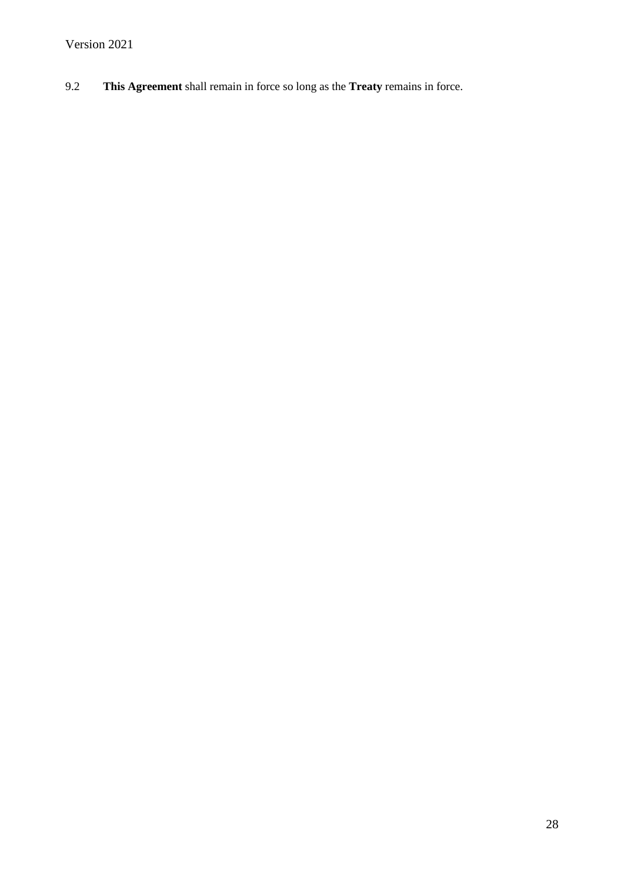9.2 **This Agreement** shall remain in force so long as the **Treaty** remains in force.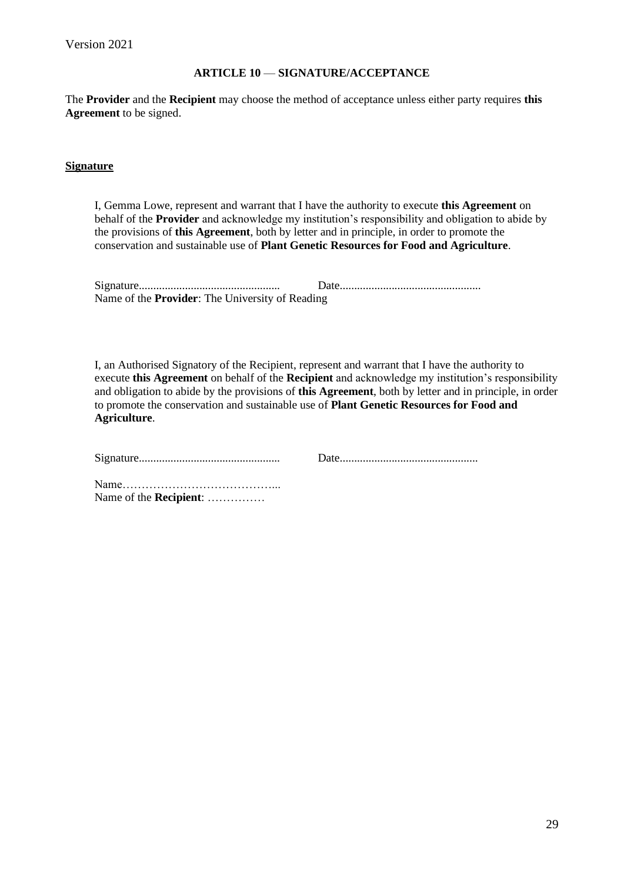#### **ARTICLE 10** — **SIGNATURE/ACCEPTANCE**

The **Provider** and the **Recipient** may choose the method of acceptance unless either party requires **this Agreement** to be signed.

#### **Signature**

I, Gemma Lowe, represent and warrant that I have the authority to execute **this Agreement** on behalf of the **Provider** and acknowledge my institution's responsibility and obligation to abide by the provisions of **this Agreement**, both by letter and in principle, in order to promote the conservation and sustainable use of **Plant Genetic Resources for Food and Agriculture**.

| Name of the <b>Provider</b> : The University of Reading |  |
|---------------------------------------------------------|--|

I, an Authorised Signatory of the Recipient, represent and warrant that I have the authority to execute **this Agreement** on behalf of the **Recipient** and acknowledge my institution's responsibility and obligation to abide by the provisions of **this Agreement**, both by letter and in principle, in order to promote the conservation and sustainable use of **Plant Genetic Resources for Food and Agriculture**.

Name of the **Recipient**: ……………

29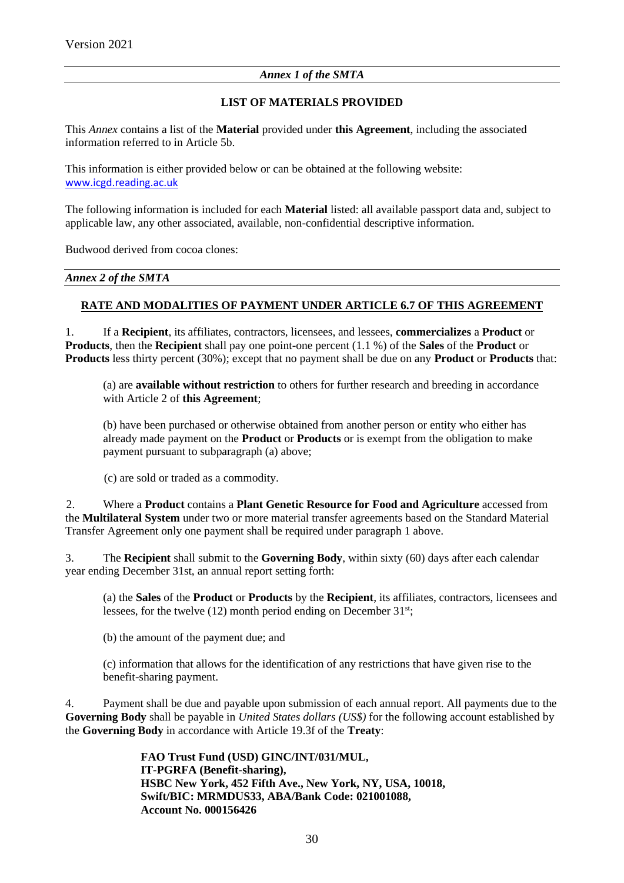### *Annex 1 of the SMTA*

### **LIST OF MATERIALS PROVIDED**

This *Annex* contains a list of the **Material** provided under **this Agreement**, including the associated information referred to in Article 5b.

This information is either provided below or can be obtained at the following website: [www.icgd.reading.ac.uk](http://www.icgd.reading.ac.uk/)

The following information is included for each **Material** listed: all available passport data and, subject to applicable law, any other associated, available, non-confidential descriptive information.

Budwood derived from cocoa clones:

#### *Annex 2 of the SMTA*

### **RATE AND MODALITIES OF PAYMENT UNDER ARTICLE 6.7 OF THIS AGREEMENT**

1. If a **Recipient**, its affiliates, contractors, licensees, and lessees, **commercializes** a **Product** or **Products**, then the **Recipient** shall pay one point-one percent (1.1 %) of the **Sales** of the **Product** or **Products** less thirty percent (30%); except that no payment shall be due on any **Product** or **Products** that:

(a) are **available without restriction** to others for further research and breeding in accordance with Article 2 of **this Agreement**;

(b) have been purchased or otherwise obtained from another person or entity who either has already made payment on the **Product** or **Products** or is exempt from the obligation to make payment pursuant to subparagraph (a) above;

(c) are sold or traded as a commodity.

2. Where a **Product** contains a **Plant Genetic Resource for Food and Agriculture** accessed from the **Multilateral System** under two or more material transfer agreements based on the Standard Material Transfer Agreement only one payment shall be required under paragraph 1 above.

3. The **Recipient** shall submit to the **Governing Body**, within sixty (60) days after each calendar year ending December 31st, an annual report setting forth:

(a) the **Sales** of the **Product** or **Products** by the **Recipient**, its affiliates, contractors, licensees and lessees, for the twelve (12) month period ending on December 31<sup>st</sup>;

(b) the amount of the payment due; and

(c) information that allows for the identification of any restrictions that have given rise to the benefit-sharing payment.

4. Payment shall be due and payable upon submission of each annual report. All payments due to the **Governing Body** shall be payable in *United States dollars (US\$)* for the following account established by the **Governing Body** in accordance with Article 19.3f of the **Treaty**:

> **FAO Trust Fund (USD) GINC/INT/031/MUL, IT-PGRFA (Benefit-sharing), HSBC New York, 452 Fifth Ave., New York, NY, USA, 10018, Swift/BIC: MRMDUS33, ABA/Bank Code: 021001088, Account No. 000156426**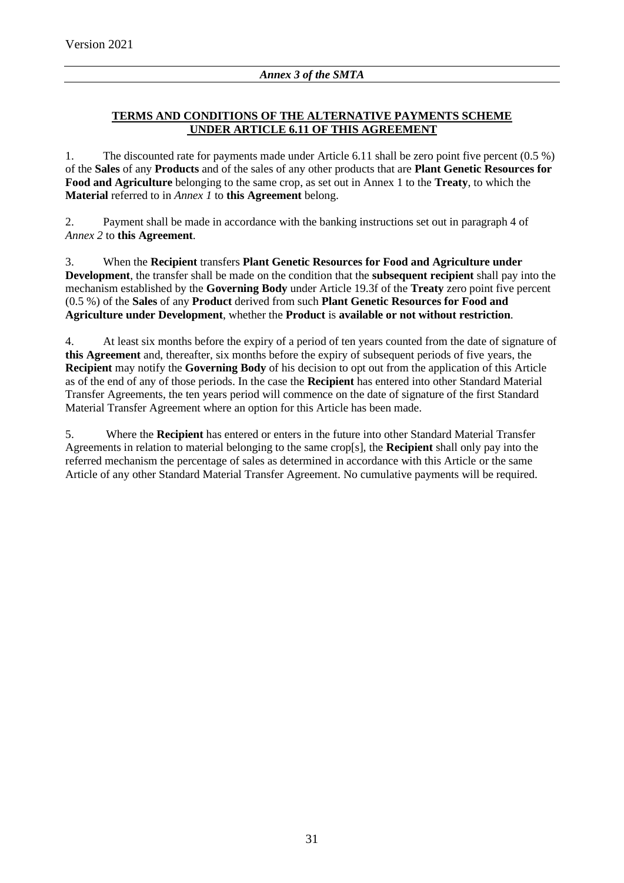### **TERMS AND CONDITIONS OF THE ALTERNATIVE PAYMENTS SCHEME UNDER ARTICLE 6.11 OF THIS AGREEMENT**

1. The discounted rate for payments made under Article 6.11 shall be zero point five percent (0.5 %) of the **Sales** of any **Products** and of the sales of any other products that are **Plant Genetic Resources for Food and Agriculture** belonging to the same crop, as set out in Annex 1 to the **Treaty**, to which the **Material** referred to in *Annex 1* to **this Agreement** belong.

2. Payment shall be made in accordance with the banking instructions set out in paragraph 4 of *Annex 2* to **this Agreement**.

3. When the **Recipient** transfers **Plant Genetic Resources for Food and Agriculture under Development**, the transfer shall be made on the condition that the **subsequent recipient** shall pay into the mechanism established by the **Governing Body** under Article 19.3f of the **Treaty** zero point five percent (0.5 %) of the **Sales** of any **Product** derived from such **Plant Genetic Resources for Food and Agriculture under Development**, whether the **Product** is **available or not without restriction**.

4. At least six months before the expiry of a period of ten years counted from the date of signature of **this Agreement** and, thereafter, six months before the expiry of subsequent periods of five years, the **Recipient** may notify the **Governing Body** of his decision to opt out from the application of this Article as of the end of any of those periods. In the case the **Recipient** has entered into other Standard Material Transfer Agreements, the ten years period will commence on the date of signature of the first Standard Material Transfer Agreement where an option for this Article has been made.

5. Where the **Recipient** has entered or enters in the future into other Standard Material Transfer Agreements in relation to material belonging to the same crop[s], the **Recipient** shall only pay into the referred mechanism the percentage of sales as determined in accordance with this Article or the same Article of any other Standard Material Transfer Agreement. No cumulative payments will be required.